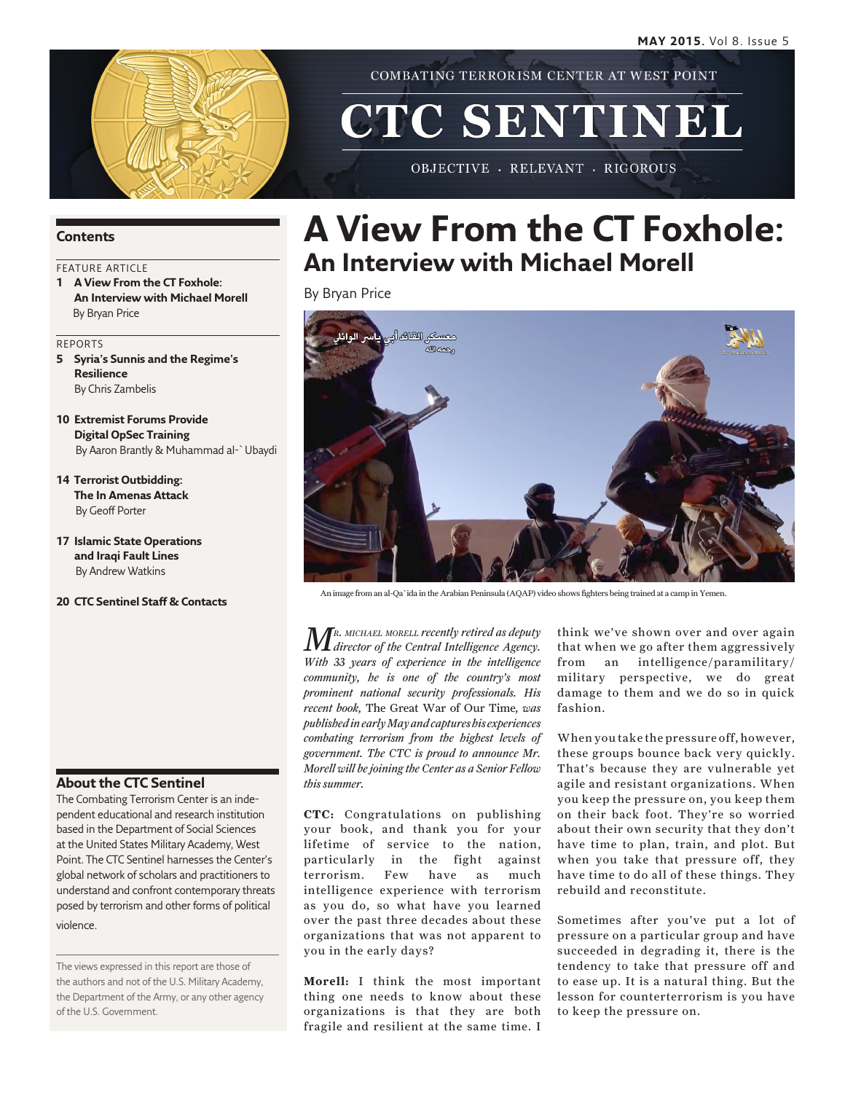

COMBATING TERRORISM CENTER AT WEST POINT

# CTC SENTINEL

OBJECTIVE - RELEVANT - RIGOROUS

### **Contents**

### FEATURE ARTICLE

**1 A View From the CT Foxhole: An Interview with Michael Morell** By Bryan Price

#### REPORTS

- **5 Syria's Sunnis and the Regime's Resilience** By Chris Zambelis
- **10 Extremist Forums Provide Digital OpSec Training**  By Aaron Brantly & Muhammad al-`Ubaydi
- **14 Terrorist Outbidding: The In Amenas Attack** By Geoff Porter
- **17 Islamic State Operations and Iraqi Fault Lines** By Andrew Watkins
- **20 CTC Sentinel Staff & Contacts**

### **About the CTC Sentinel**

The Combating Terrorism Center is an independent educational and research institution based in the Department of Social Sciences at the United States Military Academy, West Point. The CTC Sentinel harnesses the Center's global network of scholars and practitioners to understand and confront contemporary threats posed by terrorism and other forms of political violence.

The views expressed in this report are those of the authors and not of the U.S. Military Academy, the Department of the Army, or any other agency of the U.S. Government.

# **A View From the CT Foxhole: An Interview with Michael Morell**

By Bryan Price



An image from an al-Qa`ida in the Arabian Peninsula (AQAP) video shows fighters being trained at a camp in Yemen.

*Mr. michael morell recently retired as deputy director of the Central Intelligence Agency. With 33 years of experience in the intelligence community, he is one of the country's most prominent national security professionals. His recent book,* The Great War of Our Time*, was published in early May and captures his experiences combating terrorism from the highest levels of government. The CTC is proud to announce Mr. Morell will be joining the Center as a Senior Fellow this summer.*

**CTC:** Congratulations on publishing your book, and thank you for your lifetime of service to the nation, particularly in the fight against terrorism. Few have as much intelligence experience with terrorism as you do, so what have you learned over the past three decades about these organizations that was not apparent to you in the early days?

**Morell:** I think the most important thing one needs to know about these organizations is that they are both fragile and resilient at the same time. I think we've shown over and over again that when we go after them aggressively from an intelligence/paramilitary/ military perspective, we do great damage to them and we do so in quick fashion.

When you take the pressure off, however, these groups bounce back very quickly. That's because they are vulnerable yet agile and resistant organizations. When you keep the pressure on, you keep them on their back foot. They're so worried about their own security that they don't have time to plan, train, and plot. But when you take that pressure off, they have time to do all of these things. They rebuild and reconstitute.

Sometimes after you've put a lot of pressure on a particular group and have succeeded in degrading it, there is the tendency to take that pressure off and to ease up. It is a natural thing. But the lesson for counterterrorism is you have to keep the pressure on.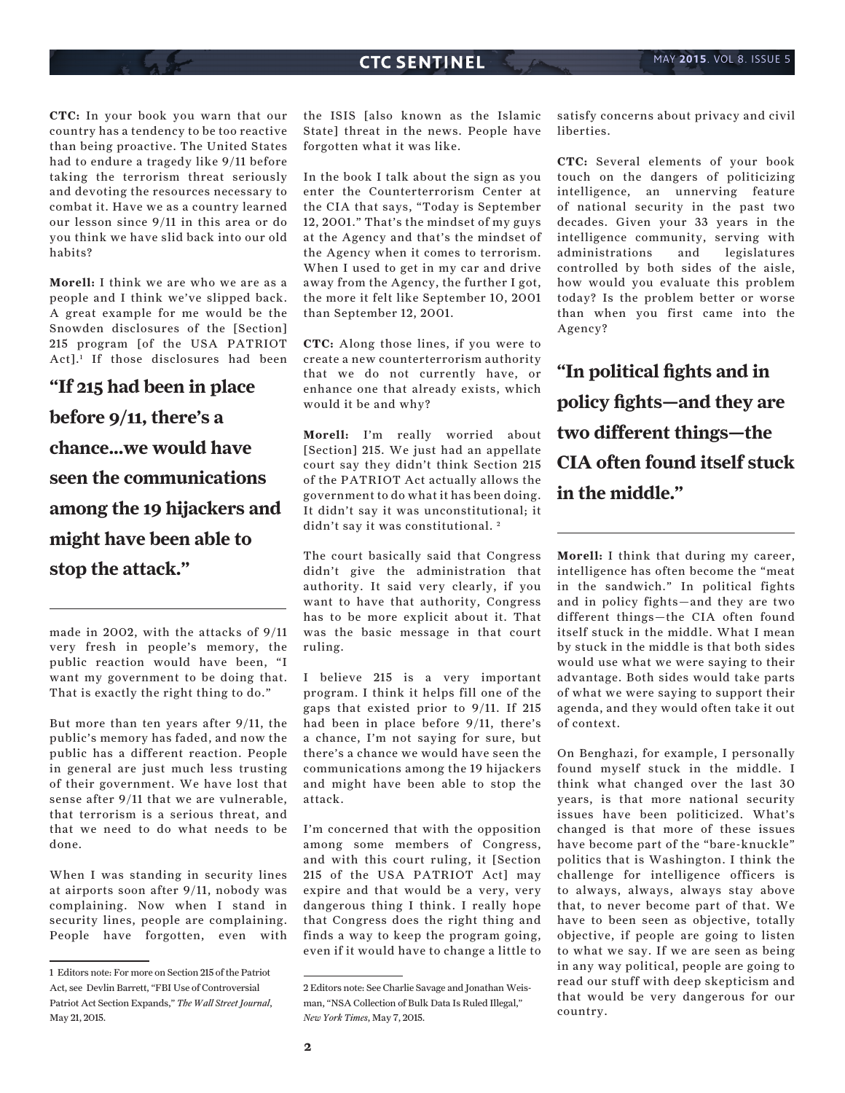**CTC:** In your book you warn that our country has a tendency to be too reactive than being proactive. The United States had to endure a tragedy like 9/11 before taking the terrorism threat seriously and devoting the resources necessary to combat it. Have we as a country learned our lesson since 9/11 in this area or do you think we have slid back into our old habits?

**Morell:** I think we are who we are as a people and I think we've slipped back. A great example for me would be the Snowden disclosures of the [Section] 215 program [of the USA PATRIOT Act].1 If those disclosures had been

**"If 215 had been in place before 9/11, there's a chance...we would have seen the communications among the 19 hijackers and might have been able to stop the attack."**

made in 2002, with the attacks of 9/11 very fresh in people's memory, the public reaction would have been, "I want my government to be doing that. That is exactly the right thing to do."

But more than ten years after 9/11, the public's memory has faded, and now the public has a different reaction. People in general are just much less trusting of their government. We have lost that sense after 9/11 that we are vulnerable, that terrorism is a serious threat, and that we need to do what needs to be done.

When I was standing in security lines at airports soon after 9/11, nobody was complaining. Now when I stand in security lines, people are complaining. People have forgotten, even with

the ISIS [also known as the Islamic State] threat in the news. People have forgotten what it was like.

In the book I talk about the sign as you enter the Counterterrorism Center at the CIA that says, "Today is September 12, 2001." That's the mindset of my guys at the Agency and that's the mindset of the Agency when it comes to terrorism. When I used to get in my car and drive away from the Agency, the further I got, the more it felt like September 10, 2001 than September 12, 2001.

**CTC:** Along those lines, if you were to create a new counterterrorism authority that we do not currently have, or enhance one that already exists, which would it be and why?

**Morell:** I'm really worried about [Section] 215. We just had an appellate court say they didn't think Section 215 of the PATRIOT Act actually allows the government to do what it has been doing. It didn't say it was unconstitutional; it didn't say it was constitutional. 2

The court basically said that Congress didn't give the administration that authority. It said very clearly, if you want to have that authority, Congress has to be more explicit about it. That was the basic message in that court ruling.

I believe 215 is a very important program. I think it helps fill one of the gaps that existed prior to 9/11. If 215 had been in place before 9/11, there's a chance, I'm not saying for sure, but there's a chance we would have seen the communications among the 19 hijackers and might have been able to stop the attack.

I'm concerned that with the opposition among some members of Congress, and with this court ruling, it [Section 215 of the USA PATRIOT Act] may expire and that would be a very, very dangerous thing I think. I really hope that Congress does the right thing and finds a way to keep the program going, even if it would have to change a little to

satisfy concerns about privacy and civil liberties.

**CTC:** Several elements of your book touch on the dangers of politicizing intelligence, an unnerving feature of national security in the past two decades. Given your 33 years in the intelligence community, serving with administrations and legislatures controlled by both sides of the aisle, how would you evaluate this problem today? Is the problem better or worse than when you first came into the Agency?

**"In political fights and in policy fights—and they are two different things—the CIA often found itself stuck in the middle."**

**Morell:** I think that during my career, intelligence has often become the "meat in the sandwich." In political fights and in policy fights—and they are two different things—the CIA often found itself stuck in the middle. What I mean by stuck in the middle is that both sides would use what we were saying to their advantage. Both sides would take parts of what we were saying to support their agenda, and they would often take it out of context.

On Benghazi, for example, I personally found myself stuck in the middle. I think what changed over the last 30 years, is that more national security issues have been politicized. What's changed is that more of these issues have become part of the "bare-knuckle" politics that is Washington. I think the challenge for intelligence officers is to always, always, always stay above that, to never become part of that. We have to been seen as objective, totally objective, if people are going to listen to what we say. If we are seen as being in any way political, people are going to read our stuff with deep skepticism and that would be very dangerous for our country.

<sup>1</sup> Editors note: For more on Section 215 of the Patriot Act, see Devlin Barrett, "FBI Use of Controversial Patriot Act Section Expands," *The Wall Street Journal*, May 21, 2015.

<sup>2</sup> Editors note: See Charlie Savage and Jonathan Weisman, "NSA Collection of Bulk Data Is Ruled Illegal," *New York Times*, May 7, 2015.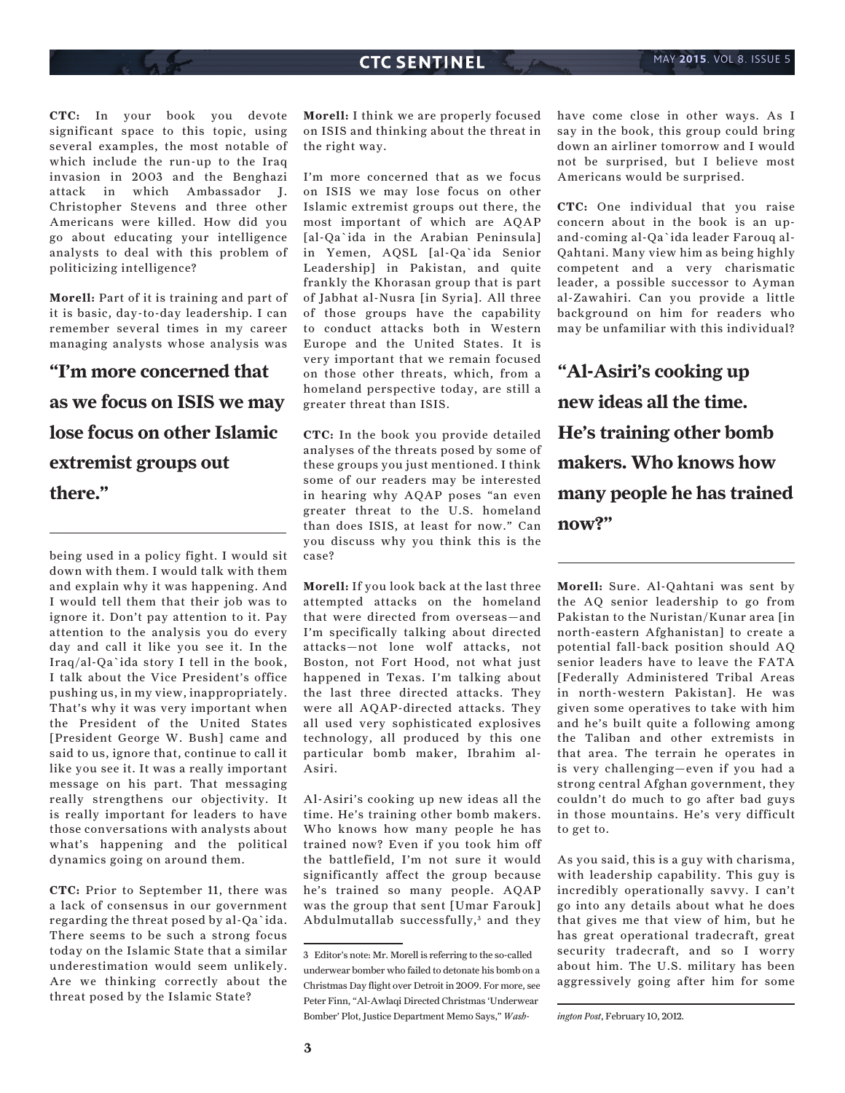**CTC:** In your book you devote significant space to this topic, using several examples, the most notable of which include the run-up to the Iraq invasion in 2003 and the Benghazi attack in which Ambassador J. Christopher Stevens and three other Americans were killed. How did you go about educating your intelligence analysts to deal with this problem of politicizing intelligence?

**Morell:** Part of it is training and part of it is basic, day-to-day leadership. I can remember several times in my career managing analysts whose analysis was

# **"I'm more concerned that as we focus on ISIS we may lose focus on other Islamic extremist groups out there."**

being used in a policy fight. I would sit down with them. I would talk with them and explain why it was happening. And I would tell them that their job was to ignore it. Don't pay attention to it. Pay attention to the analysis you do every day and call it like you see it. In the Iraq/al-Qa`ida story I tell in the book, I talk about the Vice President's office pushing us, in my view, inappropriately. That's why it was very important when the President of the United States [President George W. Bush] came and said to us, ignore that, continue to call it like you see it. It was a really important message on his part. That messaging really strengthens our objectivity. It is really important for leaders to have those conversations with analysts about what's happening and the political dynamics going on around them.

**CTC:** Prior to September 11, there was a lack of consensus in our government regarding the threat posed by al-Qa`ida. There seems to be such a strong focus today on the Islamic State that a similar underestimation would seem unlikely. Are we thinking correctly about the threat posed by the Islamic State?

**Morell:** I think we are properly focused on ISIS and thinking about the threat in the right way.

I'm more concerned that as we focus on ISIS we may lose focus on other Islamic extremist groups out there, the most important of which are AQAP [al-Qa`ida in the Arabian Peninsula] in Yemen, AQSL [al-Qa`ida Senior Leadership] in Pakistan, and quite frankly the Khorasan group that is part of Jabhat al-Nusra [in Syria]. All three of those groups have the capability to conduct attacks both in Western Europe and the United States. It is very important that we remain focused on those other threats, which, from a homeland perspective today, are still a greater threat than ISIS.

**CTC:** In the book you provide detailed analyses of the threats posed by some of these groups you just mentioned. I think some of our readers may be interested in hearing why AQAP poses "an even greater threat to the U.S. homeland than does ISIS, at least for now." Can you discuss why you think this is the case?

**Morell:** If you look back at the last three attempted attacks on the homeland that were directed from overseas—and I'm specifically talking about directed attacks—not lone wolf attacks, not Boston, not Fort Hood, not what just happened in Texas. I'm talking about the last three directed attacks. They were all AQAP-directed attacks. They all used very sophisticated explosives technology, all produced by this one particular bomb maker, Ibrahim al-Asiri.

Al-Asiri's cooking up new ideas all the time. He's training other bomb makers. Who knows how many people he has trained now? Even if you took him off the battlefield, I'm not sure it would significantly affect the group because he's trained so many people. AQAP was the group that sent [Umar Farouk] Abdulmutallab successfully,<sup>3</sup> and they

have come close in other ways. As I say in the book, this group could bring down an airliner tomorrow and I would not be surprised, but I believe most Americans would be surprised.

**CTC:** One individual that you raise concern about in the book is an upand-coming al-Qa`ida leader Farouq al-Qahtani. Many view him as being highly competent and a very charismatic leader, a possible successor to Ayman al-Zawahiri. Can you provide a little background on him for readers who may be unfamiliar with this individual?

**"Al-Asiri's cooking up new ideas all the time. He's training other bomb makers. Who knows how many people he has trained now?"**

**Morell:** Sure. Al-Qahtani was sent by the AQ senior leadership to go from Pakistan to the Nuristan/Kunar area [in north-eastern Afghanistan] to create a potential fall-back position should AQ senior leaders have to leave the FATA [Federally Administered Tribal Areas in north-western Pakistan]. He was given some operatives to take with him and he's built quite a following among the Taliban and other extremists in that area. The terrain he operates in is very challenging—even if you had a strong central Afghan government, they couldn't do much to go after bad guys in those mountains. He's very difficult to get to.

As you said, this is a guy with charisma, with leadership capability. This guy is incredibly operationally savvy. I can't go into any details about what he does that gives me that view of him, but he has great operational tradecraft, great security tradecraft, and so I worry about him. The U.S. military has been aggressively going after him for some

*ington Post*, February 10, 2012.

<sup>3</sup> Editor's note: Mr. Morell is referring to the so-called underwear bomber who failed to detonate his bomb on a Christmas Day flight over Detroit in 2009. For more, see Peter Finn, "Al-Awlaqi Directed Christmas 'Underwear Bomber' Plot, Justice Department Memo Says," *Wash-*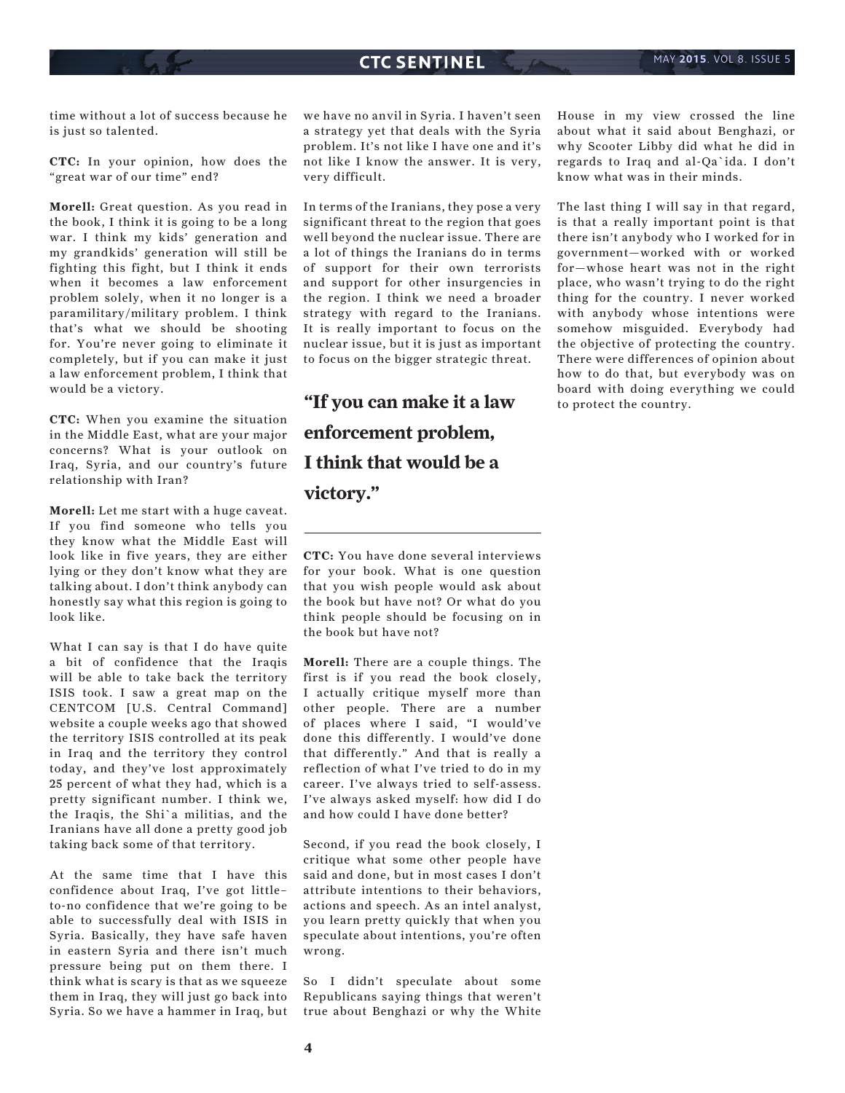time without a lot of success because he is just so talented.

**CTC:** In your opinion, how does the "great war of our time" end?

**Morell:** Great question. As you read in the book, I think it is going to be a long war. I think my kids' generation and my grandkids' generation will still be fighting this fight, but I think it ends when it becomes a law enforcement problem solely, when it no longer is a paramilitary/military problem. I think that's what we should be shooting for. You're never going to eliminate it completely, but if you can make it just a law enforcement problem, I think that would be a victory.

**CTC:** When you examine the situation in the Middle East, what are your major concerns? What is your outlook on Iraq, Syria, and our country's future relationship with Iran?

**Morell:** Let me start with a huge caveat. If you find someone who tells you they know what the Middle East will look like in five years, they are either lying or they don't know what they are talking about. I don't think anybody can honestly say what this region is going to look like.

What I can say is that I do have quite a bit of confidence that the Iraqis will be able to take back the territory ISIS took. I saw a great map on the CENTCOM [U.S. Central Command] website a couple weeks ago that showed the territory ISIS controlled at its peak in Iraq and the territory they control today, and they've lost approximately 25 percent of what they had, which is a pretty significant number. I think we, the Iraqis, the Shi`a militias, and the Iranians have all done a pretty good job taking back some of that territory.

At the same time that I have this confidence about Iraq, I've got little– to-no confidence that we're going to be able to successfully deal with ISIS in Syria. Basically, they have safe haven in eastern Syria and there isn't much pressure being put on them there. I think what is scary is that as we squeeze them in Iraq, they will just go back into Syria. So we have a hammer in Iraq, but

we have no anvil in Syria. I haven't seen a strategy yet that deals with the Syria problem. It's not like I have one and it's not like I know the answer. It is very, very difficult.

In terms of the Iranians, they pose a very significant threat to the region that goes well beyond the nuclear issue. There are a lot of things the Iranians do in terms of support for their own terrorists and support for other insurgencies in the region. I think we need a broader strategy with regard to the Iranians. It is really important to focus on the nuclear issue, but it is just as important to focus on the bigger strategic threat.

**"If you can make it a law enforcement problem, I think that would be a victory."**

**CTC:** You have done several interviews for your book. What is one question that you wish people would ask about the book but have not? Or what do you think people should be focusing on in the book but have not?

**Morell:** There are a couple things. The first is if you read the book closely, I actually critique myself more than other people. There are a number of places where I said, "I would've done this differently. I would've done that differently." And that is really a reflection of what I've tried to do in my career. I've always tried to self-assess. I've always asked myself: how did I do and how could I have done better?

Second, if you read the book closely, I critique what some other people have said and done, but in most cases I don't attribute intentions to their behaviors, actions and speech. As an intel analyst, you learn pretty quickly that when you speculate about intentions, you're often wrong.

So I didn't speculate about some Republicans saying things that weren't true about Benghazi or why the White House in my view crossed the line about what it said about Benghazi, or why Scooter Libby did what he did in regards to Iraq and al-Qa`ida. I don't know what was in their minds.

The last thing I will say in that regard, is that a really important point is that there isn't anybody who I worked for in government—worked with or worked for—whose heart was not in the right place, who wasn't trying to do the right thing for the country. I never worked with anybody whose intentions were somehow misguided. Everybody had the objective of protecting the country. There were differences of opinion about how to do that, but everybody was on board with doing everything we could to protect the country.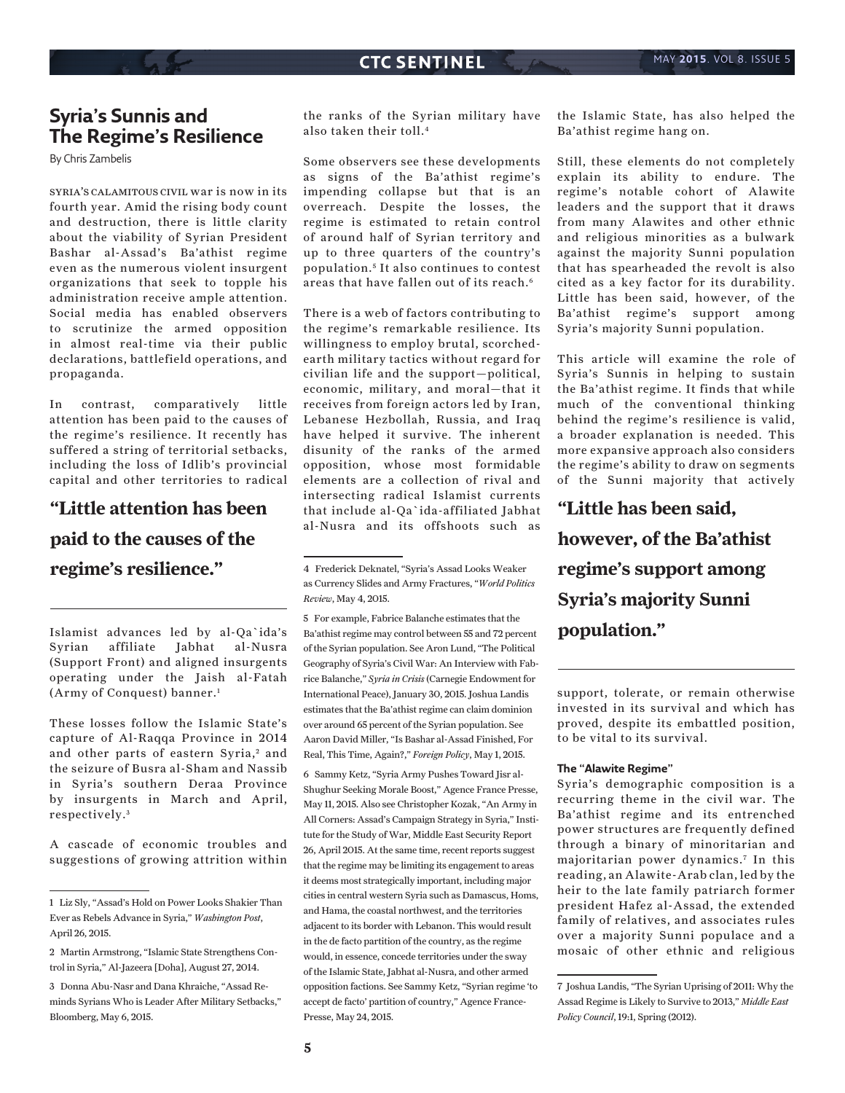# **Syria's Sunnis and The Regime's Resilience**

By Chris Zambelis

syria's calamitous civil war is now in its fourth year. Amid the rising body count and destruction, there is little clarity about the viability of Syrian President Bashar al-Assad's Ba'athist regime even as the numerous violent insurgent organizations that seek to topple his administration receive ample attention. Social media has enabled observers to scrutinize the armed opposition in almost real-time via their public declarations, battlefield operations, and propaganda.

In contrast, comparatively little attention has been paid to the causes of the regime's resilience. It recently has suffered a string of territorial setbacks, including the loss of Idlib's provincial capital and other territories to radical

# **"Little attention has been paid to the causes of the regime's resilience."**

Islamist advances led by al-Qa`ida's Syrian affiliate Jabhat al-Nusra (Support Front) and aligned insurgents operating under the Jaish al-Fatah (Army of Conquest) banner.1

These losses follow the Islamic State's capture of Al-Raqqa Province in 2014 and other parts of eastern Syria,<sup>2</sup> and the seizure of Busra al-Sham and Nassib in Syria's southern Deraa Province by insurgents in March and April, respectively. <sup>3</sup>

A cascade of economic troubles and suggestions of growing attrition within

the ranks of the Syrian military have also taken their toll.4

Some observers see these developments as signs of the Ba'athist regime's impending collapse but that is an overreach. Despite the losses, the regime is estimated to retain control of around half of Syrian territory and up to three quarters of the country's population. <sup>5</sup> It also continues to contest areas that have fallen out of its reach.6

There is a web of factors contributing to the regime's remarkable resilience. Its willingness to employ brutal, scorchedearth military tactics without regard for civilian life and the support—political, economic, military, and moral—that it receives from foreign actors led by Iran, Lebanese Hezbollah, Russia, and Iraq have helped it survive. The inherent disunity of the ranks of the armed opposition, whose most formidable elements are a collection of rival and intersecting radical Islamist currents that include al-Qa`ida-affiliated Jabhat al-Nusra and its offshoots such as

5 For example, Fabrice Balanche estimates that the Ba'athist regime may control between 55 and 72 percent of the Syrian population. See Aron Lund, "The Political Geography of Syria's Civil War: An Interview with Fabrice Balanche," *Syria in Crisis* (Carnegie Endowment for International Peace), January 30, 2015. Joshua Landis estimates that the Ba'athist regime can claim dominion over around 65 percent of the Syrian population. See Aaron David Miller, "Is Bashar al-Assad Finished, For Real, This Time, Again?," *Foreign Policy*, May 1, 2015. 6 Sammy Ketz, "Syria Army Pushes Toward Jisr al-Shughur Seeking Morale Boost," Agence France Presse, May 11, 2015. Also see Christopher Kozak, "An Army in All Corners: Assad's Campaign Strategy in Syria," Institute for the Study of War, Middle East Security Report 26, April 2015. At the same time, recent reports suggest that the regime may be limiting its engagement to areas it deems most strategically important, including major cities in central western Syria such as Damascus, Homs, and Hama, the coastal northwest, and the territories adjacent to its border with Lebanon. This would result in the de facto partition of the country, as the regime would, in essence, concede territories under the sway of the Islamic State, Jabhat al-Nusra, and other armed opposition factions. See Sammy Ketz, "Syrian regime 'to accept de facto' partition of country," Agence France-Presse, May 24, 2015.

the Islamic State, has also helped the Ba'athist regime hang on.

Still, these elements do not completely explain its ability to endure. The regime's notable cohort of Alawite leaders and the support that it draws from many Alawites and other ethnic and religious minorities as a bulwark against the majority Sunni population that has spearheaded the revolt is also cited as a key factor for its durability. Little has been said, however, of the Ba'athist regime's support among Syria's majority Sunni population.

This article will examine the role of Syria's Sunnis in helping to sustain the Ba'athist regime. It finds that while much of the conventional thinking behind the regime's resilience is valid, a broader explanation is needed. This more expansive approach also considers the regime's ability to draw on segments of the Sunni majority that actively

**"Little has been said, however, of the Ba'athist regime's support among Syria's majority Sunni population."**

support, tolerate, or remain otherwise invested in its survival and which has proved, despite its embattled position, to be vital to its survival.

### **The "Alawite Regime"**

Syria's demographic composition is a recurring theme in the civil war. The Ba'athist regime and its entrenched power structures are frequently defined through a binary of minoritarian and majoritarian power dynamics.<sup>7</sup> In this reading, an Alawite-Arab clan, led by the heir to the late family patriarch former president Hafez al-Assad, the extended family of relatives, and associates rules over a majority Sunni populace and a mosaic of other ethnic and religious

<sup>1</sup> Liz Sly, "Assad's Hold on Power Looks Shakier Than Ever as Rebels Advance in Syria," *Washington Post*, April 26, 2015.

<sup>2</sup> Martin Armstrong, "Islamic State Strengthens Control in Syria," Al-Jazeera [Doha], August 27, 2014.

<sup>3</sup> Donna Abu-Nasr and Dana Khraiche, "Assad Reminds Syrians Who is Leader After Military Setbacks," Bloomberg, May 6, 2015.

<sup>4</sup> Frederick Deknatel, "Syria's Assad Looks Weaker as Currency Slides and Army Fractures, "*World Politics Review*, May 4, 2015.

<sup>7</sup> Joshua Landis, "The Syrian Uprising of 2011: Why the Assad Regime is Likely to Survive to 2013," *Middle East Policy Council*, 19:1, Spring (2012).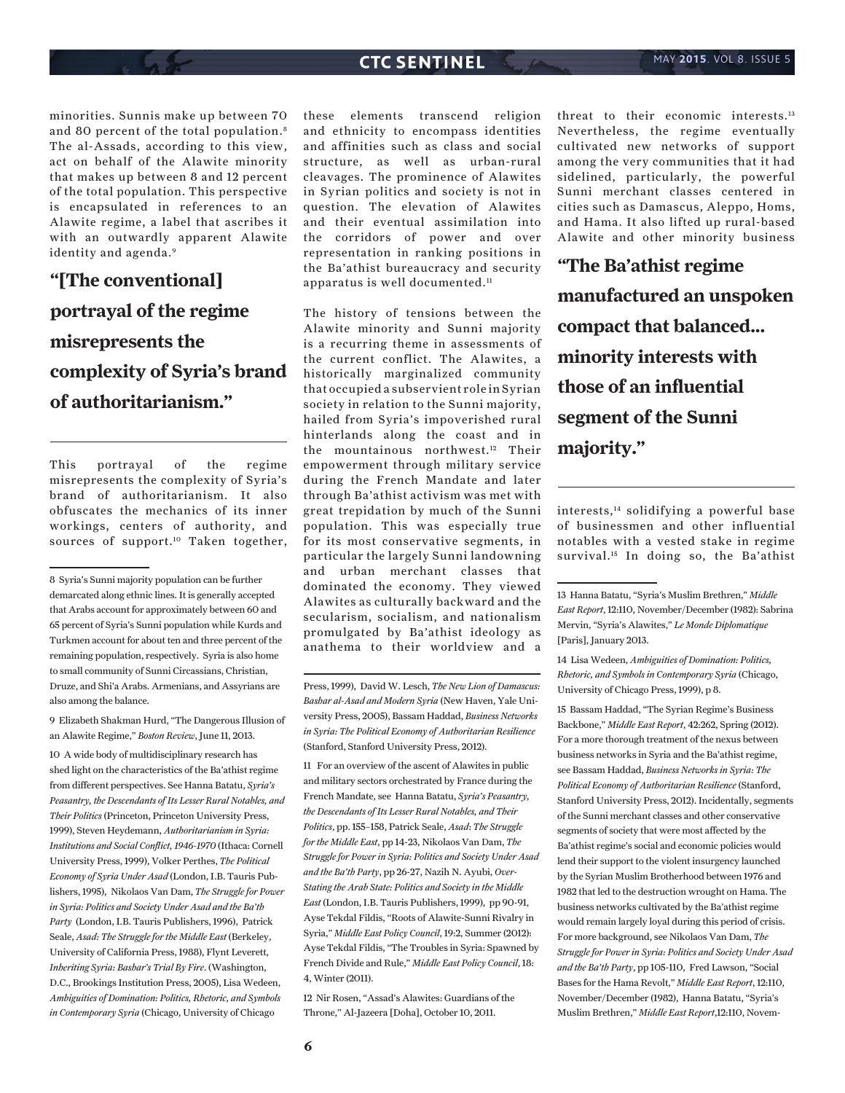minorities. Sunnis make up between 70 and 80 percent of the total population.<sup>8</sup> The al-Assads, according to this view, act on behalf of the Alawite minority that makes up between 8 and 12 percent of the total population. This perspective is encapsulated in references to an Alawite regime, a label that ascribes it with an outwardly apparent Alawite identity and agenda.<sup>9</sup>

# **"[The conventional] portrayal of the regime misrepresents the complexity of Syria's brand of authoritarianism."**

This portrayal of the regime misrepresents the complexity of Syria's brand of authoritarianism. It also obfuscates the mechanics of its inner workings, centers of authority, and sources of support.10 Taken together,

9 Elizabeth Shakman Hurd, "The Dangerous Illusion of an Alawite Regime," *Boston Review*, June 11, 2013.

10 A wide body of multidisciplinary research has shed light on the characteristics of the Ba'athist regime from different perspectives. See Hanna Batatu, *Syria's Peasantry, the Descendants of Its Lesser Rural Notables, and Their Politics* (Princeton, Princeton University Press, 1999), Steven Heydemann, *Authoritarianism in Syria: Institutions and Social Conflict, 1946-1970* (Ithaca: Cornell University Press, 1999), Volker Perthes, *The Political Economy of Syria Under Asad* (London, I.B. Tauris Publishers, 1995), Nikolaos Van Dam, *The Struggle for Power in Syria: Politics and Society Under Asad and the Ba'th Party* (London, I.B. Tauris Publishers, 1996), Patrick Seale, *Asad: The Struggle for the Middle East* (Berkeley, University of California Press, 1988), Flynt Leverett, *Inheriting Syria: Bashar's Trial By Fire*. (Washington, D.C., Brookings Institution Press, 2005), Lisa Wedeen, *Ambiguities of Domination: Politics, Rhetoric, and Symbols in Contemporary Syria* (Chicago, University of Chicago

these elements transcend religion and ethnicity to encompass identities and affinities such as class and social structure, as well as urban-rural cleavages. The prominence of Alawites in Syrian politics and society is not in question. The elevation of Alawites and their eventual assimilation into the corridors of power and over representation in ranking positions in the Ba'athist bureaucracy and security apparatus is well documented.<sup>11</sup>

The history of tensions between the Alawite minority and Sunni majority is a recurring theme in assessments of the current conflict. The Alawites, a historically marginalized community that occupied a subservient role in Syrian society in relation to the Sunni majority, hailed from Syria's impoverished rural hinterlands along the coast and in the mountainous northwest.12 Their empowerment through military service during the French Mandate and later through Ba'athist activism was met with great trepidation by much of the Sunni population. This was especially true for its most conservative segments, in particular the largely Sunni landowning and urban merchant classes that dominated the economy. They viewed Alawites as culturally backward and the secularism, socialism, and nationalism promulgated by Ba'athist ideology as anathema to their worldview and a

Press, 1999), David W. Lesch, *The New Lion of Damascus: Bashar al-Asad and Modern Syria* (New Haven, Yale University Press, 2005), Bassam Haddad, *Business Networks in Syria: The Political Economy of Authoritarian Resilience*  (Stanford, Stanford University Press, 2012).

11 For an overview of the ascent of Alawites in public and military sectors orchestrated by France during the French Mandate, see Hanna Batatu, *Syria's Peasantry, the Descendants of Its Lesser Rural Notables, and Their Politics*, pp. 155–158, Patrick Seale, *Asad*: *The Struggle for the Middle East*, pp 14-23, Nikolaos Van Dam, *The Struggle for Power in Syria: Politics and Society Under Asad and the Ba'th Party*, pp 26-27, Nazih N. Ayubi, *Over-Stating the Arab State: Politics and Society in the Middle East* (London, I.B. Tauris Publishers, 1999), pp 90-91, Ayse Tekdal Fildis, "Roots of Alawite-Sunni Rivalry in Syria," *Middle East Policy Council*, 19:2, Summer (2012): Ayse Tekdal Fildis, "The Troubles in Syria: Spawned by French Divide and Rule," *Middle East Policy Council*, 18: 4, Winter (2011).

12 Nir Rosen, "Assad's Alawites: Guardians of the Throne," Al-Jazeera [Doha], October 10, 2011.

threat to their economic interests.13 Nevertheless, the regime eventually cultivated new networks of support among the very communities that it had sidelined, particularly, the powerful Sunni merchant classes centered in cities such as Damascus, Aleppo, Homs, and Hama. It also lifted up rural-based Alawite and other minority business

**"The Ba'athist regime manufactured an unspoken compact that balanced... minority interests with those of an influential segment of the Sunni majority."**

interests,14 solidifying a powerful base of businessmen and other influential notables with a vested stake in regime survival.<sup>15</sup> In doing so, the Ba'athist

14 Lisa Wedeen, *Ambiguities of Domination: Politics, Rhetoric, and Symbols in Contemporary Syria* (Chicago, University of Chicago Press, 1999), p 8.

15 Bassam Haddad, "The Syrian Regime's Business Backbone," *Middle East Report*, 42:262, Spring (2012). For a more thorough treatment of the nexus between business networks in Syria and the Ba'athist regime, see Bassam Haddad, *Business Networks in Syria: The Political Economy of Authoritarian Resilience* (Stanford, Stanford University Press, 2012). Incidentally, segments of the Sunni merchant classes and other conservative segments of society that were most affected by the Ba'athist regime's social and economic policies would lend their support to the violent insurgency launched by the Syrian Muslim Brotherhood between 1976 and 1982 that led to the destruction wrought on Hama. The business networks cultivated by the Ba'athist regime would remain largely loyal during this period of crisis. For more background, see Nikolaos Van Dam, *The Struggle for Power in Syria: Politics and Society Under Asad and the Ba'th Party*, pp 105-110, Fred Lawson, "Social Bases for the Hama Revolt," *Middle East Report*, 12:110, November/December (1982), Hanna Batatu, "Syria's Muslim Brethren," *Middle East Report*,12:110, Novem-

<sup>8</sup> Syria's Sunni majority population can be further demarcated along ethnic lines. It is generally accepted that Arabs account for approximately between 60 and 65 percent of Syria's Sunni population while Kurds and Turkmen account for about ten and three percent of the remaining population, respectively. Syria is also home to small community of Sunni Circassians, Christian, Druze, and Shi'a Arabs. Armenians, and Assyrians are also among the balance.

<sup>13</sup> Hanna Batatu, "Syria's Muslim Brethren," *Middle East Report*, 12:110, November/December (1982): Sabrina Mervin, "Syria's Alawites," *Le Monde Diplomatique*  [Paris], January 2013.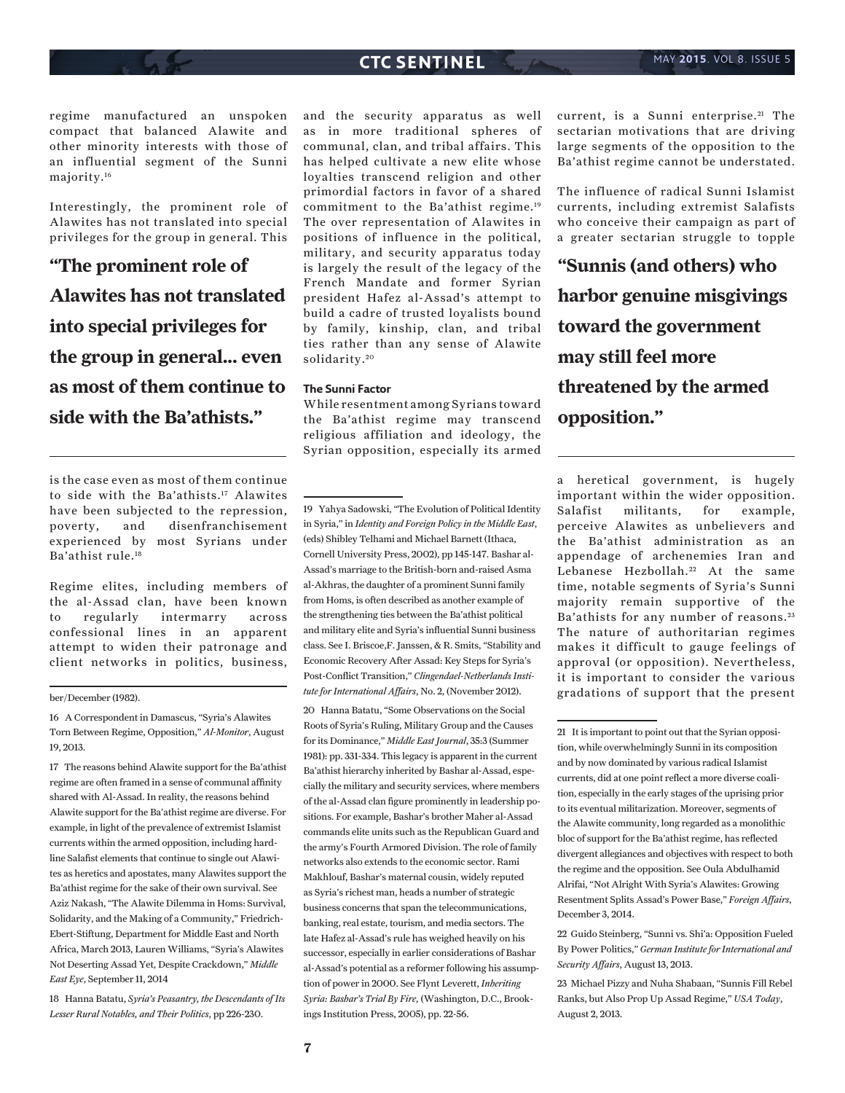regime manufactured an unspoken compact that balanced Alawite and other minority interests with those of an influential segment of the Sunni majority.16

Interestingly, the prominent role of Alawites has not translated into special privileges for the group in general. This

**"The prominent role of Alawites has not translated into special privileges for the group in general... even as most of them continue to side with the Ba'athists."**

is the case even as most of them continue to side with the Ba'athists.17 Alawites have been subjected to the repression, poverty, and disenfranchisement experienced by most Syrians under Ba'athist rule.18

Regime elites, including members of the al-Assad clan, have been known to regularly intermarry across confessional lines in an apparent attempt to widen their patronage and client networks in politics, business,

#### ber/December (1982).

17 The reasons behind Alawite support for the Ba'athist regime are often framed in a sense of communal affinity shared with Al-Assad. In reality, the reasons behind Alawite support for the Ba'athist regime are diverse. For example, in light of the prevalence of extremist Islamist currents within the armed opposition, including hardline Salafist elements that continue to single out Alawites as heretics and apostates, many Alawites support the Ba'athist regime for the sake of their own survival. See Aziz Nakash, "The Alawite Dilemma in Homs: Survival, Solidarity, and the Making of a Community," Friedrich-Ebert-Stiftung, Department for Middle East and North Africa, March 2013, Lauren Williams, "Syria's Alawites Not Deserting Assad Yet, Despite Crackdown," *Middle East Eye*, September 11, 2014

18 Hanna Batatu, *Syria's Peasantry, the Descendants of Its Lesser Rural Notables, and Their Politics*, pp 226-230.

and the security apparatus as well as in more traditional spheres of communal, clan, and tribal affairs. This has helped cultivate a new elite whose loyalties transcend religion and other primordial factors in favor of a shared commitment to the Ba'athist regime.19 The over representation of Alawites in positions of influence in the political, military, and security apparatus today is largely the result of the legacy of the French Mandate and former Syrian president Hafez al-Assad's attempt to build a cadre of trusted loyalists bound by family, kinship, clan, and tribal ties rather than any sense of Alawite solidarity.<sup>20</sup>

### **The Sunni Factor**

While resentment among Syrians toward the Ba'athist regime may transcend religious affiliation and ideology, the Syrian opposition, especially its armed

19 Yahya Sadowski, "The Evolution of Political Identity in Syria," in *Identity and Foreign Policy in the Middle East*, (eds) Shibley Telhami and Michael Barnett (Ithaca, Cornell University Press, 2002), pp 145-147. Bashar al-Assad's marriage to the British-born and-raised Asma al-Akhras, the daughter of a prominent Sunni family from Homs, is often described as another example of the strengthening ties between the Ba'athist political and military elite and Syria's influential Sunni business class. See I. Briscoe,F. Janssen, & R. Smits, "Stability and Economic Recovery After Assad: Key Steps for Syria's Post-Conflict Transition," *Clingendael-Netherlands Institute for International Affairs*, No. 2, (November 2012).

20 Hanna Batatu, "Some Observations on the Social Roots of Syria's Ruling, Military Group and the Causes for its Dominance," *Middle East Journal*, 35:3 (Summer 1981): pp. 331-334. This legacy is apparent in the current Ba'athist hierarchy inherited by Bashar al-Assad, especially the military and security services, where members of the al-Assad clan figure prominently in leadership positions. For example, Bashar's brother Maher al-Assad commands elite units such as the Republican Guard and the army's Fourth Armored Division. The role of family networks also extends to the economic sector. Rami Makhlouf, Bashar's maternal cousin, widely reputed as Syria's richest man, heads a number of strategic business concerns that span the telecommunications, banking, real estate, tourism, and media sectors. The late Hafez al-Assad's rule has weighed heavily on his successor, especially in earlier considerations of Bashar al-Assad's potential as a reformer following his assumption of power in 2000. See Flynt Leverett, *Inheriting Syria: Bashar's Trial By Fire,* (Washington, D.C., Brookings Institution Press, 2005), pp. 22-56.

current, is a Sunni enterprise.<sup>21</sup> The sectarian motivations that are driving large segments of the opposition to the Ba'athist regime cannot be understated.

The influence of radical Sunni Islamist currents, including extremist Salafists who conceive their campaign as part of a greater sectarian struggle to topple

**"Sunnis (and others) who harbor genuine misgivings toward the government may still feel more threatened by the armed opposition."**

a heretical government, is hugely important within the wider opposition. Salafist militants, for example, perceive Alawites as unbelievers and the Ba'athist administration as an appendage of archenemies Iran and Lebanese Hezbollah.<sup>22</sup> At the same time, notable segments of Syria's Sunni majority remain supportive of the Ba'athists for any number of reasons.<sup>23</sup> The nature of authoritarian regimes makes it difficult to gauge feelings of approval (or opposition). Nevertheless, it is important to consider the various gradations of support that the present

23 Michael Pizzy and Nuha Shabaan, "Sunnis Fill Rebel Ranks, but Also Prop Up Assad Regime," *USA Today*, August 2, 2013.

<sup>16</sup> A Correspondent in Damascus, "Syria's Alawites Torn Between Regime, Opposition," *Al-Monitor*, August 19, 2013.

<sup>21</sup> It is important to point out that the Syrian opposition, while overwhelmingly Sunni in its composition and by now dominated by various radical Islamist currents, did at one point reflect a more diverse coalition, especially in the early stages of the uprising prior to its eventual militarization. Moreover, segments of the Alawite community, long regarded as a monolithic bloc of support for the Ba'athist regime, has reflected divergent allegiances and objectives with respect to both the regime and the opposition. See Oula Abdulhamid Alrifai, "Not Alright With Syria's Alawites: Growing Resentment Splits Assad's Power Base," *Foreign Affairs*, December 3, 2014.

<sup>22</sup> Guido Steinberg, "Sunni vs. Shi'a: Opposition Fueled By Power Politics," *German Institute for International and Security Affairs*, August 13, 2013.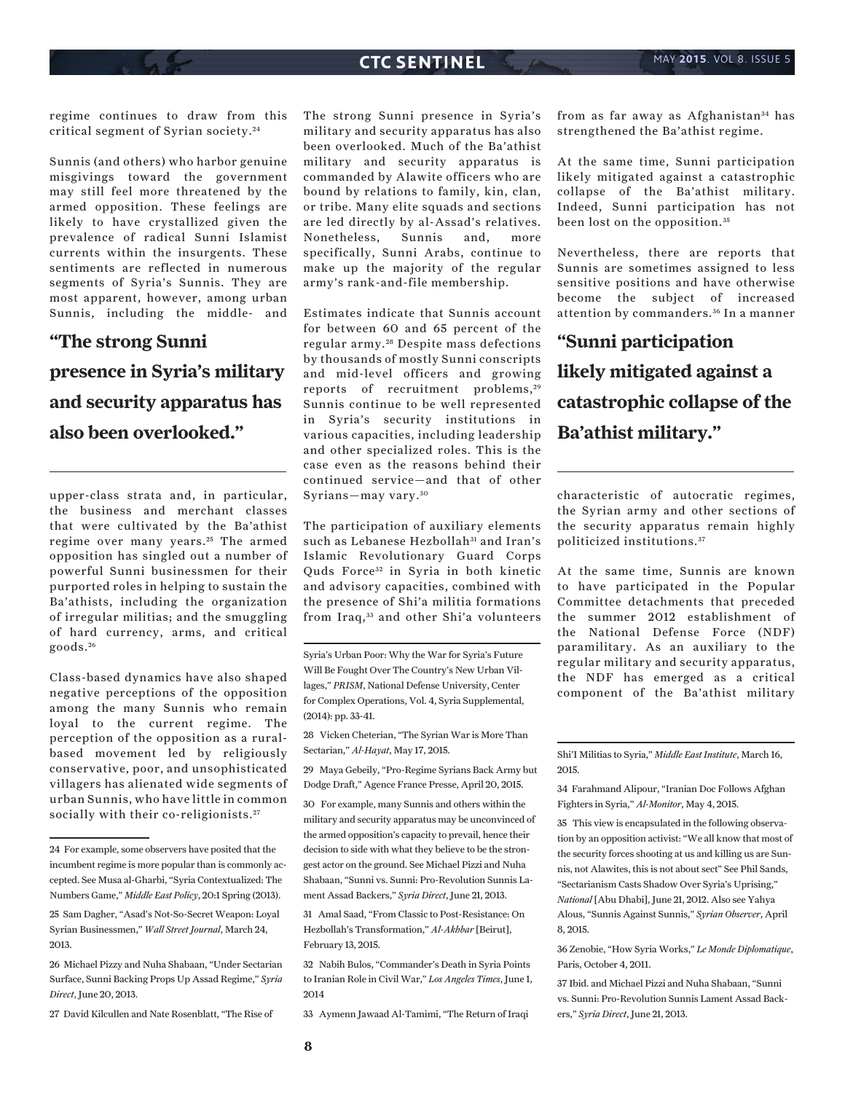regime continues to draw from this critical segment of Syrian society. <sup>24</sup>

Sunnis (and others) who harbor genuine misgivings toward the government may still feel more threatened by the armed opposition. These feelings are likely to have crystallized given the prevalence of radical Sunni Islamist currents within the insurgents. These sentiments are reflected in numerous segments of Syria's Sunnis. They are most apparent, however, among urban Sunnis, including the middle- and

# **"The strong Sunni presence in Syria's military**

**and security apparatus has also been overlooked."**

upper-class strata and, in particular, the business and merchant classes that were cultivated by the Ba'athist regime over many years.<sup>25</sup> The armed opposition has singled out a number of powerful Sunni businessmen for their purported roles in helping to sustain the Ba'athists, including the organization of irregular militias; and the smuggling of hard currency, arms, and critical goods. <sup>26</sup>

Class-based dynamics have also shaped negative perceptions of the opposition among the many Sunnis who remain loyal to the current regime. The perception of the opposition as a ruralbased movement led by religiously conservative, poor, and unsophisticated villagers has alienated wide segments of urban Sunnis, who have little in common socially with their co-religionists.<sup>27</sup>

27 David Kilcullen and Nate Rosenblatt, "The Rise of

The strong Sunni presence in Syria's military and security apparatus has also been overlooked. Much of the Ba'athist military and security apparatus is commanded by Alawite officers who are bound by relations to family, kin, clan, or tribe. Many elite squads and sections are led directly by al-Assad's relatives. Nonetheless, Sunnis and, more specifically, Sunni Arabs, continue to make up the majority of the regular army's rank-and-file membership.

Estimates indicate that Sunnis account for between 60 and 65 percent of the regular army. 28 Despite mass defections by thousands of mostly Sunni conscripts and mid-level officers and growing reports of recruitment problems,<sup>29</sup> Sunnis continue to be well represented in Syria's security institutions in various capacities, including leadership and other specialized roles. This is the case even as the reasons behind their continued service—and that of other Syrians—may vary. <sup>30</sup>

The participation of auxiliary elements such as Lebanese Hezbollah<sup>31</sup> and Iran's Islamic Revolutionary Guard Corps Quds Force<sup>32</sup> in Syria in both kinetic and advisory capacities, combined with the presence of Shi'a militia formations from Iraq,<sup>33</sup> and other Shi'a volunteers

Syria's Urban Poor: Why the War for Syria's Future Will Be Fought Over The Country's New Urban Villages," *PRISM*, National Defense University, Center for Complex Operations, Vol. 4, Syria Supplemental, (2014): pp. 33-41.

28 Vicken Cheterian, "The Syrian War is More Than Sectarian," *Al-Hayat*, May 17, 2015.

29 Maya Gebeily, "Pro-Regime Syrians Back Army but Dodge Draft," Agence France Presse, April 20, 2015.

31 Amal Saad, "From Classic to Post-Resistance: On Hezbollah's Transformation," *Al-Akhbar* [Beirut], February 13, 2015.

32 Nabih Bulos, "Commander's Death in Syria Points to Iranian Role in Civil War," *Los Angeles Times*, June 1, 2014

33 Aymenn Jawaad Al-Tamimi, "The Return of Iraqi

from as far away as Afghanistan<sup>34</sup> has strengthened the Ba'athist regime.

At the same time, Sunni participation likely mitigated against a catastrophic collapse of the Ba'athist military. Indeed, Sunni participation has not been lost on the opposition.<sup>35</sup>

Nevertheless, there are reports that Sunnis are sometimes assigned to less sensitive positions and have otherwise become the subject of increased attention by commanders. 36 In a manner

**"Sunni participation likely mitigated against a catastrophic collapse of the Ba'athist military."**

characteristic of autocratic regimes, the Syrian army and other sections of the security apparatus remain highly politicized institutions. <sup>37</sup>

At the same time, Sunnis are known to have participated in the Popular Committee detachments that preceded the summer 2012 establishment of the National Defense Force (NDF) paramilitary. As an auxiliary to the regular military and security apparatus, the NDF has emerged as a critical component of the Ba'athist military

Shi'I Militias to Syria," *Middle East Institute*, March 16, 2015.

34 Farahmand Alipour, "Iranian Doc Follows Afghan Fighters in Syria," *Al-Monitor*, May 4, 2015.

35 This view is encapsulated in the following observation by an opposition activist: "We all know that most of the security forces shooting at us and killing us are Sunnis, not Alawites, this is not about sect" See Phil Sands, "Sectarianism Casts Shadow Over Syria's Uprising," *National* [Abu Dhabi], June 21, 2012. Also see Yahya Alous, "Sunnis Against Sunnis," *Syrian Observer*, April 8, 2015.

36 Zenobie, "How Syria Works," *Le Monde Diplomatique*, Paris, October 4, 2011.

37 Ibid. and Michael Pizzi and Nuha Shabaan, "Sunni vs. Sunni: Pro-Revolution Sunnis Lament Assad Backers," *Syria Direct*, June 21, 2013.

<sup>24</sup> For example, some observers have posited that the incumbent regime is more popular than is commonly accepted. See Musa al-Gharbi, "Syria Contextualized: The Numbers Game," *Middle East Policy*, 20:1 Spring (2013).

<sup>25</sup> Sam Dagher, "Asad's Not-So-Secret Weapon: Loyal Syrian Businessmen," *Wall Street Journal*, March 24, 2013.

<sup>26</sup> Michael Pizzy and Nuha Shabaan, "Under Sectarian Surface, Sunni Backing Props Up Assad Regime," *Syria Direct*, June 20, 2013.

<sup>30</sup> For example, many Sunnis and others within the military and security apparatus may be unconvinced of the armed opposition's capacity to prevail, hence their decision to side with what they believe to be the strongest actor on the ground. See Michael Pizzi and Nuha Shabaan, "Sunni vs. Sunni: Pro-Revolution Sunnis Lament Assad Backers," *Syria Direct*, June 21, 2013.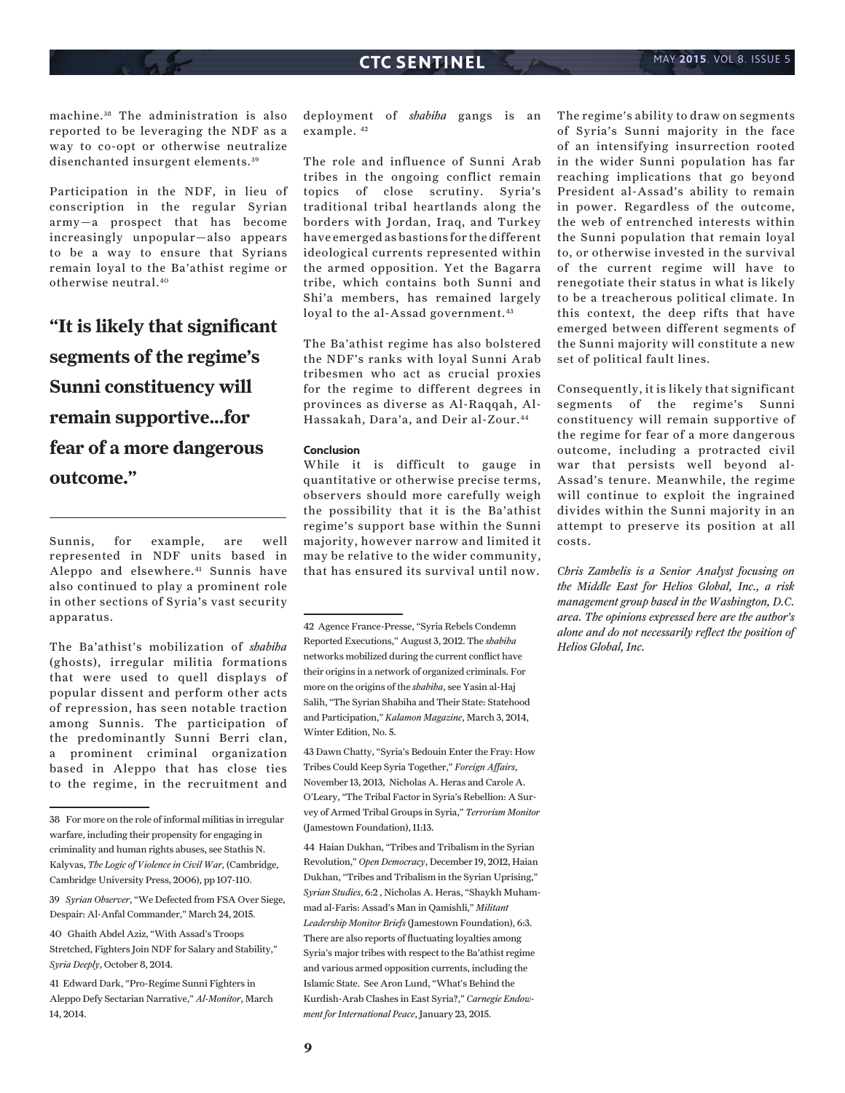machine. 38 The administration is also reported to be leveraging the NDF as a way to co-opt or otherwise neutralize disenchanted insurgent elements.<sup>39</sup>

Participation in the NDF, in lieu of conscription in the regular Syrian army—a prospect that has become increasingly unpopular—also appears to be a way to ensure that Syrians remain loyal to the Ba'athist regime or otherwise neutral.40

**"It is likely that significant segments of the regime's Sunni constituency will remain supportive...for fear of a more dangerous outcome."**

Sunnis, for example, are well represented in NDF units based in Aleppo and elsewhere.41 Sunnis have also continued to play a prominent role in other sections of Syria's vast security apparatus.

The Ba'athist's mobilization of *shabiha* (ghosts), irregular militia formations that were used to quell displays of popular dissent and perform other acts of repression, has seen notable traction among Sunnis. The participation of the predominantly Sunni Berri clan, a prominent criminal organization based in Aleppo that has close ties to the regime, in the recruitment and

deployment of *shabiha* gangs is an example. 42

The role and influence of Sunni Arab tribes in the ongoing conflict remain topics of close scrutiny. Syria's traditional tribal heartlands along the borders with Jordan, Iraq, and Turkey have emerged as bastions for the different ideological currents represented within the armed opposition. Yet the Bagarra tribe, which contains both Sunni and Shi'a members, has remained largely loyal to the al-Assad government.<sup>43</sup>

The Ba'athist regime has also bolstered the NDF's ranks with loyal Sunni Arab tribesmen who act as crucial proxies for the regime to different degrees in provinces as diverse as Al-Raqqah, Al-Hassakah, Dara'a, and Deir al-Zour.44

### **Conclusion**

While it is difficult to gauge in quantitative or otherwise precise terms, observers should more carefully weigh the possibility that it is the Ba'athist regime's support base within the Sunni majority, however narrow and limited it may be relative to the wider community, that has ensured its survival until now.

42 Agence France-Presse, "Syria Rebels Condemn Reported Executions," August 3, 2012. The *shabiha* networks mobilized during the current conflict have their origins in a network of organized criminals. For more on the origins of the *shabiha*, see Yasin al-Haj Salih, "The Syrian Shabiha and Their State: Statehood and Participation," *Kalamon Magazine*, March 3, 2014, Winter Edition, No. 5.

43 Dawn Chatty, "Syria's Bedouin Enter the Fray: How Tribes Could Keep Syria Together," *Foreign Affairs*, November 13, 2013, Nicholas A. Heras and Carole A. O'Leary, "The Tribal Factor in Syria's Rebellion: A Survey of Armed Tribal Groups in Syria," *Terrorism Monitor*  (Jamestown Foundation), 11:13.

44 Haian Dukhan, "Tribes and Tribalism in the Syrian Revolution," *Open Democracy*, December 19, 2012, Haian Dukhan, "Tribes and Tribalism in the Syrian Uprising," *Syrian Studies*, 6:2 , Nicholas A. Heras, "Shaykh Muhammad al-Faris: Assad's Man in Qamishli," *Militant Leadership Monitor Briefs* (Jamestown Foundation), 6:3. There are also reports of fluctuating loyalties among Syria's major tribes with respect to the Ba'athist regime and various armed opposition currents, including the Islamic State. See Aron Lund, "What's Behind the Kurdish-Arab Clashes in East Syria?," *Carnegie Endowment for International Peace*, January 23, 2015.

The regime's ability to draw on segments of Syria's Sunni majority in the face of an intensifying insurrection rooted in the wider Sunni population has far reaching implications that go beyond President al-Assad's ability to remain in power. Regardless of the outcome, the web of entrenched interests within the Sunni population that remain loyal to, or otherwise invested in the survival of the current regime will have to renegotiate their status in what is likely to be a treacherous political climate. In this context, the deep rifts that have emerged between different segments of the Sunni majority will constitute a new set of political fault lines.

Consequently, it is likely that significant segments of the regime's Sunni constituency will remain supportive of the regime for fear of a more dangerous outcome, including a protracted civil war that persists well beyond al-Assad's tenure. Meanwhile, the regime will continue to exploit the ingrained divides within the Sunni majority in an attempt to preserve its position at all costs.

*Chris Zambelis is a Senior Analyst focusing on the Middle East for Helios Global, Inc., a risk management group based in the Washington, D.C. area. The opinions expressed here are the author's alone and do not necessarily reflect the position of Helios Global, Inc.*

<sup>38</sup> For more on the role of informal militias in irregular warfare, including their propensity for engaging in criminality and human rights abuses, see Stathis N. Kalyvas, *The Logic of Violence in Civil War,* (Cambridge, Cambridge University Press, 2006), pp 107-110.

<sup>39</sup> *Syrian Observer*, "We Defected from FSA Over Siege, Despair: Al-Anfal Commander," March 24, 2015.

<sup>40</sup> Ghaith Abdel Aziz, "With Assad's Troops Stretched, Fighters Join NDF for Salary and Stability," *Syria Deeply*, October 8, 2014.

<sup>41</sup> Edward Dark, "Pro-Regime Sunni Fighters in Aleppo Defy Sectarian Narrative," *Al-Monitor*, March 14, 2014.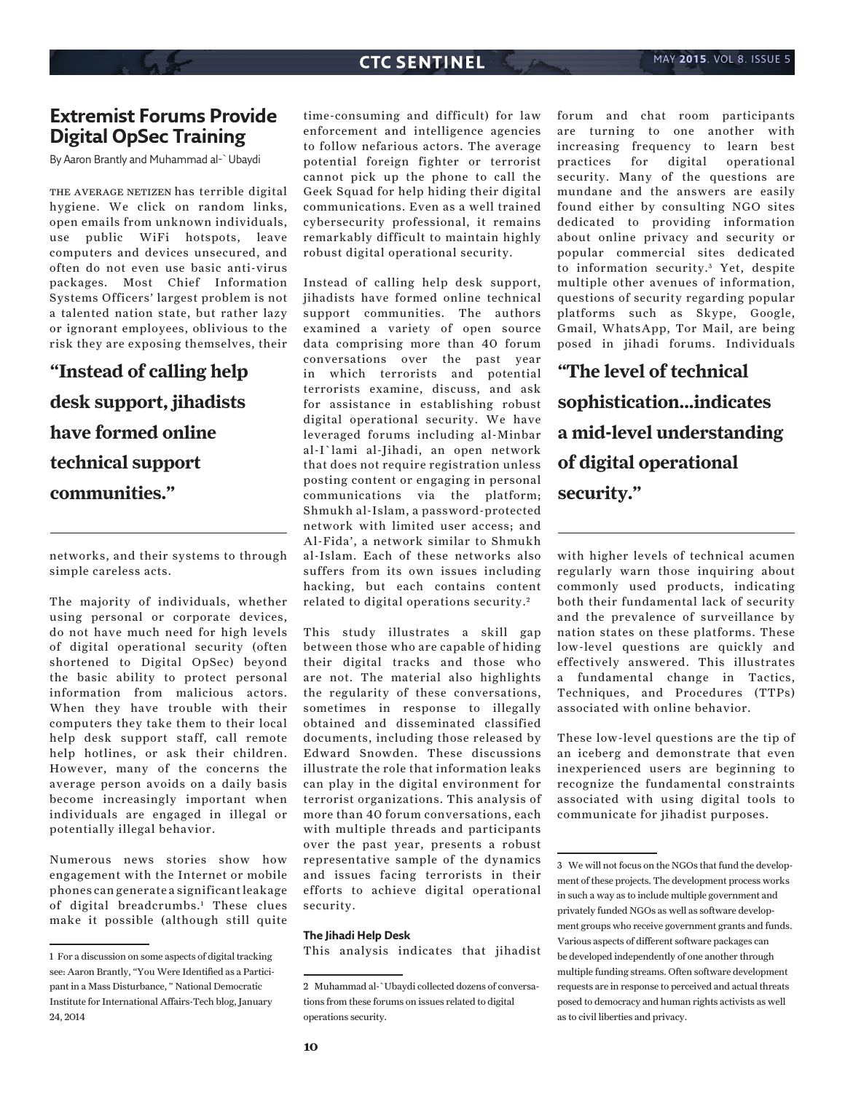# **Extremist Forums Provide Digital OpSec Training**

By Aaron Brantly and Muhammad al-`Ubaydi

THE AVERAGE NETIZEN has terrible digital hygiene. We click on random links, open emails from unknown individuals, use public WiFi hotspots, leave computers and devices unsecured, and often do not even use basic anti-virus packages. Most Chief Information Systems Officers' largest problem is not a talented nation state, but rather lazy or ignorant employees, oblivious to the risk they are exposing themselves, their

# **"Instead of calling help desk support, jihadists have formed online technical support communities."**

networks, and their systems to through simple careless acts.

The majority of individuals, whether using personal or corporate devices, do not have much need for high levels of digital operational security (often shortened to Digital OpSec) beyond the basic ability to protect personal information from malicious actors. When they have trouble with their computers they take them to their local help desk support staff, call remote help hotlines, or ask their children. However, many of the concerns the average person avoids on a daily basis become increasingly important when individuals are engaged in illegal or potentially illegal behavior.

Numerous news stories show how engagement with the Internet or mobile phones can generate a significant leakage of digital breadcrumbs.1 These clues make it possible (although still quite

time-consuming and difficult) for law enforcement and intelligence agencies to follow nefarious actors. The average potential foreign fighter or terrorist cannot pick up the phone to call the Geek Squad for help hiding their digital communications. Even as a well trained cybersecurity professional, it remains remarkably difficult to maintain highly robust digital operational security.

Instead of calling help desk support, jihadists have formed online technical support communities. The authors examined a variety of open source data comprising more than 40 forum conversations over the past year in which terrorists and potential terrorists examine, discuss, and ask for assistance in establishing robust digital operational security. We have leveraged forums including al-Minbar al-I`lami al-Jihadi, an open network that does not require registration unless posting content or engaging in personal communications via the platform; Shmukh al-Islam, a password-protected network with limited user access; and Al-Fida', a network similar to Shmukh al-Islam. Each of these networks also suffers from its own issues including hacking, but each contains content related to digital operations security. <sup>2</sup>

This study illustrates a skill gap between those who are capable of hiding their digital tracks and those who are not. The material also highlights the regularity of these conversations, sometimes in response to illegally obtained and disseminated classified documents, including those released by Edward Snowden. These discussions illustrate the role that information leaks can play in the digital environment for terrorist organizations. This analysis of more than 40 forum conversations, each with multiple threads and participants over the past year, presents a robust representative sample of the dynamics and issues facing terrorists in their efforts to achieve digital operational security.

#### **The Jihadi Help Desk**

This analysis indicates that jihadist

forum and chat room participants are turning to one another with increasing frequency to learn best practices for digital operational security. Many of the questions are mundane and the answers are easily found either by consulting NGO sites dedicated to providing information about online privacy and security or popular commercial sites dedicated to information security.<sup>3</sup> Yet, despite multiple other avenues of information, questions of security regarding popular platforms such as Skype, Google, Gmail, WhatsApp, Tor Mail, are being posed in jihadi forums. Individuals

**"The level of technical sophistication...indicates a mid-level understanding of digital operational security."**

with higher levels of technical acumen regularly warn those inquiring about commonly used products, indicating both their fundamental lack of security and the prevalence of surveillance by nation states on these platforms. These low-level questions are quickly and effectively answered. This illustrates a fundamental change in Tactics, Techniques, and Procedures (TTPs) associated with online behavior.

These low-level questions are the tip of an iceberg and demonstrate that even inexperienced users are beginning to recognize the fundamental constraints associated with using digital tools to communicate for jihadist purposes.

<sup>1</sup> For a discussion on some aspects of digital tracking see: Aaron Brantly, "You Were Identified as a Participant in a Mass Disturbance, " National Democratic Institute for International Affairs-Tech blog, January 24, 2014

<sup>2</sup> Muhammad al-`Ubaydi collected dozens of conversations from these forums on issues related to digital operations security.

<sup>3</sup> We will not focus on the NGOs that fund the development of these projects. The development process works in such a way as to include multiple government and privately funded NGOs as well as software development groups who receive government grants and funds. Various aspects of different software packages can be developed independently of one another through multiple funding streams. Often software development requests are in response to perceived and actual threats posed to democracy and human rights activists as well as to civil liberties and privacy.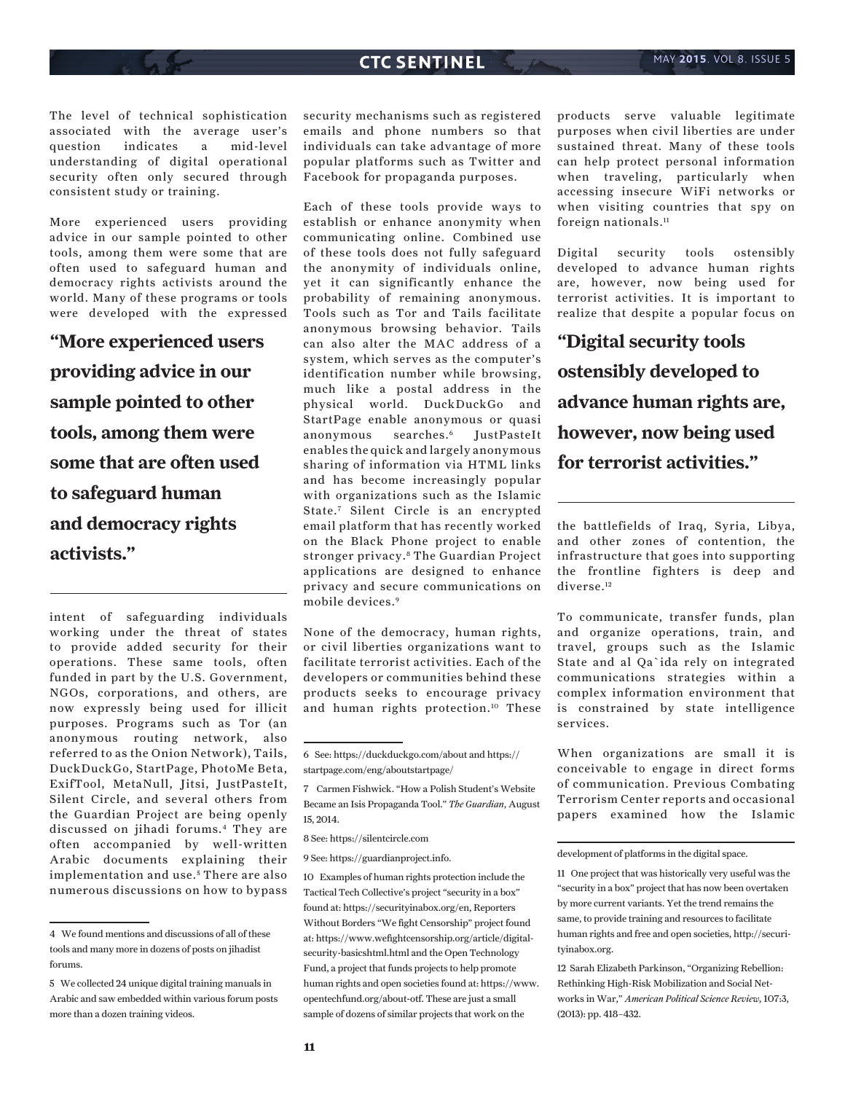The level of technical sophistication associated with the average user's question indicates a mid-level understanding of digital operational security often only secured through consistent study or training.

More experienced users providing advice in our sample pointed to other tools, among them were some that are often used to safeguard human and democracy rights activists around the world. Many of these programs or tools were developed with the expressed

**"More experienced users providing advice in our sample pointed to other tools, among them were some that are often used to safeguard human and democracy rights activists."**

intent of safeguarding individuals working under the threat of states to provide added security for their operations. These same tools, often funded in part by the U.S. Government, NGOs, corporations, and others, are now expressly being used for illicit purposes. Programs such as Tor (an anonymous routing network, also referred to as the Onion Network), Tails, DuckDuckGo, StartPage, PhotoMe Beta, ExifTool, MetaNull, Jitsi, JustPasteIt, Silent Circle, and several others from the Guardian Project are being openly discussed on jihadi forums.4 They are often accompanied by well-written Arabic documents explaining their implementation and use.<sup>5</sup> There are also numerous discussions on how to bypass security mechanisms such as registered emails and phone numbers so that individuals can take advantage of more popular platforms such as Twitter and Facebook for propaganda purposes.

Each of these tools provide ways to establish or enhance anonymity when communicating online. Combined use of these tools does not fully safeguard the anonymity of individuals online, yet it can significantly enhance the probability of remaining anonymous. Tools such as Tor and Tails facilitate anonymous browsing behavior. Tails can also alter the MAC address of a system, which serves as the computer's identification number while browsing, much like a postal address in the physical world. DuckDuckGo and StartPage enable anonymous or quasi anonymous searches.6 JustPasteIt enables the quick and largely anonymous sharing of information via HTML links and has become increasingly popular with organizations such as the Islamic State.<sup>7</sup> Silent Circle is an encrypted email platform that has recently worked on the Black Phone project to enable stronger privacy.8 The Guardian Project applications are designed to enhance privacy and secure communications on mobile devices.9

None of the democracy, human rights, or civil liberties organizations want to facilitate terrorist activities. Each of the developers or communities behind these products seeks to encourage privacy and human rights protection.10 These products serve valuable legitimate purposes when civil liberties are under sustained threat. Many of these tools can help protect personal information when traveling, particularly when accessing insecure WiFi networks or when visiting countries that spy on foreign nationals.<sup>11</sup>

Digital security tools ostensibly developed to advance human rights are, however, now being used for terrorist activities. It is important to realize that despite a popular focus on

**"Digital security tools ostensibly developed to advance human rights are, however, now being used for terrorist activities."**

the battlefields of Iraq, Syria, Libya, and other zones of contention, the infrastructure that goes into supporting the frontline fighters is deep and diverse.<sup>12</sup>

To communicate, transfer funds, plan and organize operations, train, and travel, groups such as the Islamic State and al Qa`ida rely on integrated communications strategies within a complex information environment that is constrained by state intelligence services.

When organizations are small it is conceivable to engage in direct forms of communication. Previous Combating Terrorism Center reports and occasional papers examined how the Islamic

development of platforms in the digital space.

12 Sarah Elizabeth Parkinson, "Organizing Rebellion: Rethinking High-Risk Mobilization and Social Networks in War," *American Political Science Review,* 107:3, (2013): pp. 418–432.

<sup>4</sup> We found mentions and discussions of all of these tools and many more in dozens of posts on jihadist forums.

<sup>5</sup> We collected 24 unique digital training manuals in Arabic and saw embedded within various forum posts more than a dozen training videos.

<sup>6</sup> See: https://duckduckgo.com/about and https:// startpage.com/eng/aboutstartpage/

<sup>7</sup> Carmen Fishwick. "How a Polish Student's Website Became an Isis Propaganda Tool." *The Guardian*, August 15, 2014.

<sup>8</sup> See: https://silentcircle.com

<sup>9</sup> See: https://guardianproject.info.

<sup>10</sup> Examples of human rights protection include the Tactical Tech Collective's project "security in a box" found at: https://securityinabox.org/en, Reporters Without Borders "We fight Censorship" project found at: https://www.wefightcensorship.org/article/digitalsecurity-basicshtml.html and the Open Technology Fund, a project that funds projects to help promote human rights and open societies found at: https://www. opentechfund.org/about-otf. These are just a small sample of dozens of similar projects that work on the

<sup>11</sup> One project that was historically very useful was the "security in a box" project that has now been overtaken by more current variants. Yet the trend remains the same, to provide training and resources to facilitate human rights and free and open societies, http://securityinabox.org.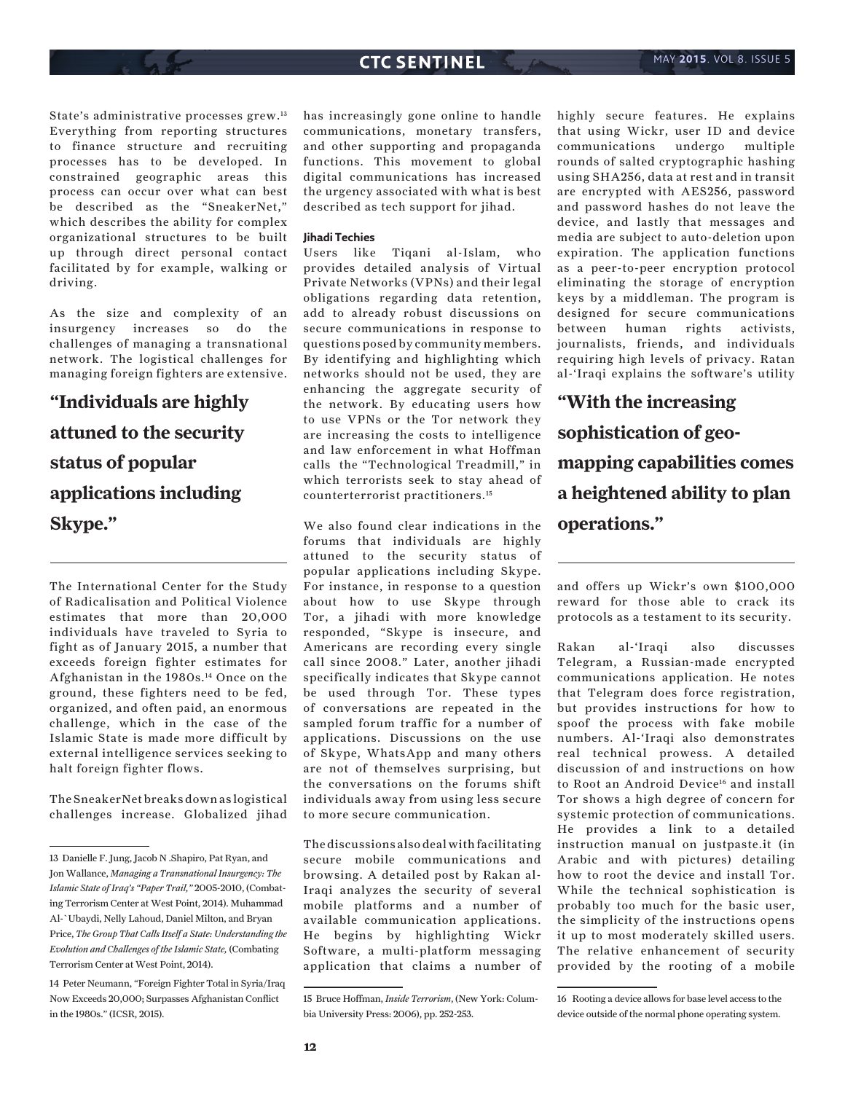State's administrative processes grew.13 Everything from reporting structures to finance structure and recruiting processes has to be developed. In constrained geographic areas this process can occur over what can best be described as the "SneakerNet," which describes the ability for complex organizational structures to be built up through direct personal contact facilitated by for example, walking or driving.

As the size and complexity of an insurgency increases so do the challenges of managing a transnational network. The logistical challenges for managing foreign fighters are extensive.

**"Individuals are highly attuned to the security status of popular applications including Skype."**

The International Center for the Study of Radicalisation and Political Violence estimates that more than 20,000 individuals have traveled to Syria to fight as of January 2015, a number that exceeds foreign fighter estimates for Afghanistan in the 1980s.<sup>14</sup> Once on the ground, these fighters need to be fed, organized, and often paid, an enormous challenge, which in the case of the Islamic State is made more difficult by external intelligence services seeking to halt foreign fighter flows.

The SneakerNet breaks down as logistical challenges increase. Globalized jihad

has increasingly gone online to handle communications, monetary transfers, and other supporting and propaganda functions. This movement to global digital communications has increased the urgency associated with what is best described as tech support for jihad.

### **Jihadi Techies**

Users like Tiqani al-Islam, who provides detailed analysis of Virtual Private Networks (VPNs) and their legal obligations regarding data retention, add to already robust discussions on secure communications in response to questions posed by community members. By identifying and highlighting which networks should not be used, they are enhancing the aggregate security of the network. By educating users how to use VPNs or the Tor network they are increasing the costs to intelligence and law enforcement in what Hoffman calls the "Technological Treadmill," in which terrorists seek to stay ahead of counterterrorist practitioners.15

We also found clear indications in the forums that individuals are highly attuned to the security status of popular applications including Skype. For instance, in response to a question about how to use Skype through Tor, a jihadi with more knowledge responded, "Skype is insecure, and Americans are recording every single call since 2008." Later, another jihadi specifically indicates that Skype cannot be used through Tor. These types of conversations are repeated in the sampled forum traffic for a number of applications. Discussions on the use of Skype, WhatsApp and many others are not of themselves surprising, but the conversations on the forums shift individuals away from using less secure to more secure communication.

The discussions also deal with facilitating secure mobile communications and browsing. A detailed post by Rakan al-Iraqi analyzes the security of several mobile platforms and a number of available communication applications. He begins by highlighting Wickr Software, a multi-platform messaging application that claims a number of highly secure features. He explains that using Wickr, user ID and device communications undergo multiple rounds of salted cryptographic hashing using SHA256, data at rest and in transit are encrypted with AES256, password and password hashes do not leave the device, and lastly that messages and media are subject to auto-deletion upon expiration. The application functions as a peer-to-peer encryption protocol eliminating the storage of encryption keys by a middleman. The program is designed for secure communications between human rights activists, journalists, friends, and individuals requiring high levels of privacy. Ratan al-'Iraqi explains the software's utility

**"With the increasing sophistication of geomapping capabilities comes a heightened ability to plan operations."**

and offers up Wickr's own \$100,000 reward for those able to crack its protocols as a testament to its security.

Rakan al-'Iraqi also discusses Telegram, a Russian-made encrypted communications application. He notes that Telegram does force registration, but provides instructions for how to spoof the process with fake mobile numbers. Al-'Iraqi also demonstrates real technical prowess. A detailed discussion of and instructions on how to Root an Android Device<sup>16</sup> and install Tor shows a high degree of concern for systemic protection of communications. He provides a link to a detailed instruction manual on justpaste.it (in Arabic and with pictures) detailing how to root the device and install Tor. While the technical sophistication is probably too much for the basic user, the simplicity of the instructions opens it up to most moderately skilled users. The relative enhancement of security provided by the rooting of a mobile

<sup>13</sup> Danielle F. Jung, Jacob N .Shapiro, Pat Ryan, and Jon Wallance, *Managing a Transnational Insurgency: The Islamic State of Iraq's "Paper Trail,"* 2005-2010, (Combating Terrorism Center at West Point, 2014). Muhammad Al-`Ubaydi, Nelly Lahoud, Daniel Milton, and Bryan Price, *The Group That Calls Itself a State: Understanding the Evolution and Challenges of the Islamic State,* (Combating Terrorism Center at West Point, 2014).

<sup>14</sup> Peter Neumann, "Foreign Fighter Total in Syria/Iraq Now Exceeds 20,000; Surpasses Afghanistan Conflict in the 1980s." (ICSR, 2015).

<sup>15</sup> Bruce Hoffman, *Inside Terrorism*, (New York: Columbia University Press: 2006), pp. 252-253.

<sup>16</sup> Rooting a device allows for base level access to the device outside of the normal phone operating system.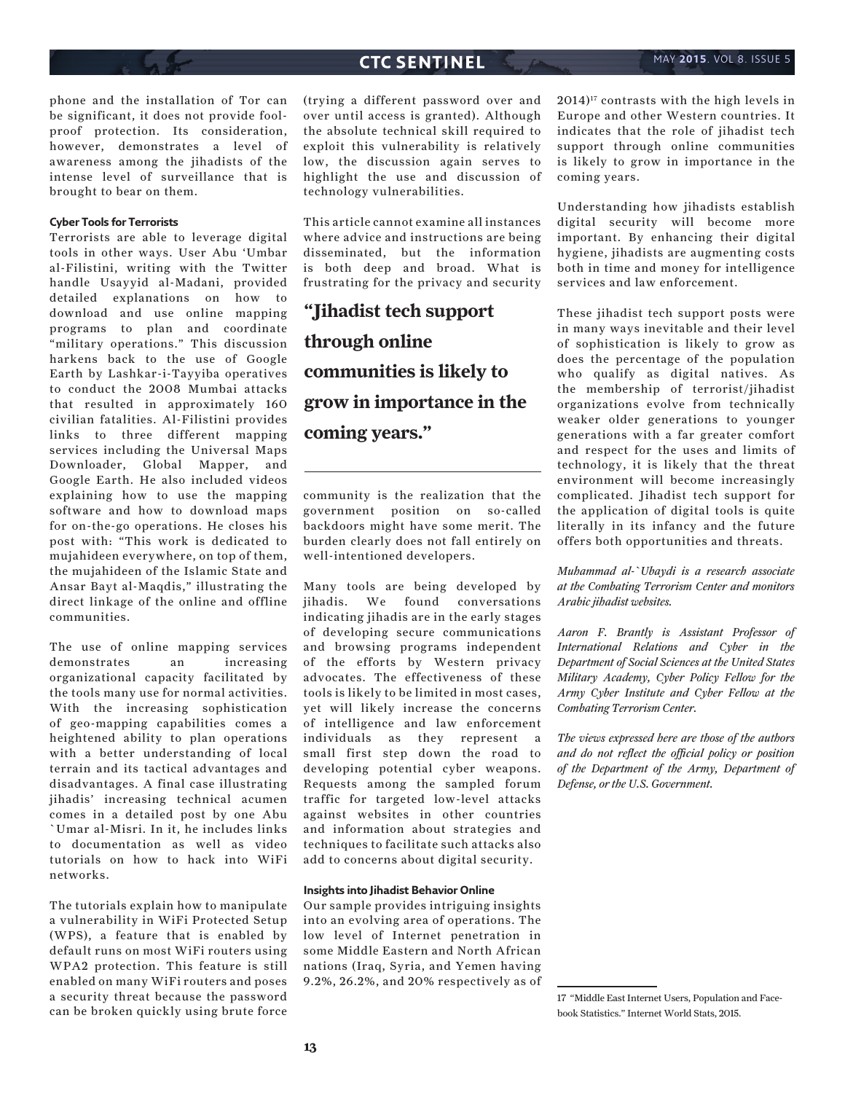phone and the installation of Tor can be significant, it does not provide foolproof protection. Its consideration, however, demonstrates a level of awareness among the jihadists of the intense level of surveillance that is brought to bear on them.

### **Cyber Tools for Terrorists**

Terrorists are able to leverage digital tools in other ways. User Abu 'Umbar al-Filistini, writing with the Twitter handle Usayyid al-Madani, provided detailed explanations on how to download and use online mapping programs to plan and coordinate "military operations." This discussion harkens back to the use of Google Earth by Lashkar-i-Tayyiba operatives to conduct the 2008 Mumbai attacks that resulted in approximately 160 civilian fatalities. Al-Filistini provides links to three different mapping services including the Universal Maps Downloader, Global Mapper, and Google Earth. He also included videos explaining how to use the mapping software and how to download maps for on-the-go operations. He closes his post with: "This work is dedicated to mujahideen everywhere, on top of them, the mujahideen of the Islamic State and Ansar Bayt al-Maqdis," illustrating the direct linkage of the online and offline communities.

The use of online mapping services demonstrates an increasing organizational capacity facilitated by the tools many use for normal activities. With the increasing sophistication of geo-mapping capabilities comes a heightened ability to plan operations with a better understanding of local terrain and its tactical advantages and disadvantages. A final case illustrating jihadis' increasing technical acumen comes in a detailed post by one Abu `Umar al-Misri. In it, he includes links to documentation as well as video tutorials on how to hack into WiFi networks.

The tutorials explain how to manipulate a vulnerability in WiFi Protected Setup (WPS), a feature that is enabled by default runs on most WiFi routers using WPA2 protection. This feature is still enabled on many WiFi routers and poses a security threat because the password can be broken quickly using brute force

(trying a different password over and over until access is granted). Although the absolute technical skill required to exploit this vulnerability is relatively low, the discussion again serves to highlight the use and discussion of technology vulnerabilities.

This article cannot examine all instances where advice and instructions are being disseminated, but the information is both deep and broad. What is frustrating for the privacy and security

**"Jihadist tech support through online communities is likely to grow in importance in the coming years."**

community is the realization that the government position on so-called backdoors might have some merit. The burden clearly does not fall entirely on well-intentioned developers.

Many tools are being developed by jihadis. We found conversations indicating jihadis are in the early stages of developing secure communications and browsing programs independent of the efforts by Western privacy advocates. The effectiveness of these tools is likely to be limited in most cases, yet will likely increase the concerns of intelligence and law enforcement individuals as they represent a small first step down the road to developing potential cyber weapons. Requests among the sampled forum traffic for targeted low-level attacks against websites in other countries and information about strategies and techniques to facilitate such attacks also add to concerns about digital security.

### **Insights into Jihadist Behavior Online**

Our sample provides intriguing insights into an evolving area of operations. The low level of Internet penetration in some Middle Eastern and North African nations (Iraq, Syria, and Yemen having 9.2%, 26.2%, and 20% respectively as of  $2014$ <sup>17</sup> contrasts with the high levels in Europe and other Western countries. It indicates that the role of jihadist tech support through online communities is likely to grow in importance in the coming years.

Understanding how jihadists establish digital security will become more important. By enhancing their digital hygiene, jihadists are augmenting costs both in time and money for intelligence services and law enforcement.

These jihadist tech support posts were in many ways inevitable and their level of sophistication is likely to grow as does the percentage of the population who qualify as digital natives. As the membership of terrorist/jihadist organizations evolve from technically weaker older generations to younger generations with a far greater comfort and respect for the uses and limits of technology, it is likely that the threat environment will become increasingly complicated. Jihadist tech support for the application of digital tools is quite literally in its infancy and the future offers both opportunities and threats.

*Muhammad al-`Ubaydi is a research associate at the Combating Terrorism Center and monitors Arabic jihadist websites.*

*Aaron F. Brantly is Assistant Professor of International Relations and Cyber in the Department of Social Sciences at the United States Military Academy, Cyber Policy Fellow for the Army Cyber Institute and Cyber Fellow at the Combating Terrorism Center.* 

*The views expressed here are those of the authors and do not reflect the official policy or position of the Department of the Army, Department of Defense, or the U.S. Government.*

<sup>17 &</sup>quot;Middle East Internet Users, Population and Facebook Statistics." Internet World Stats, 2015.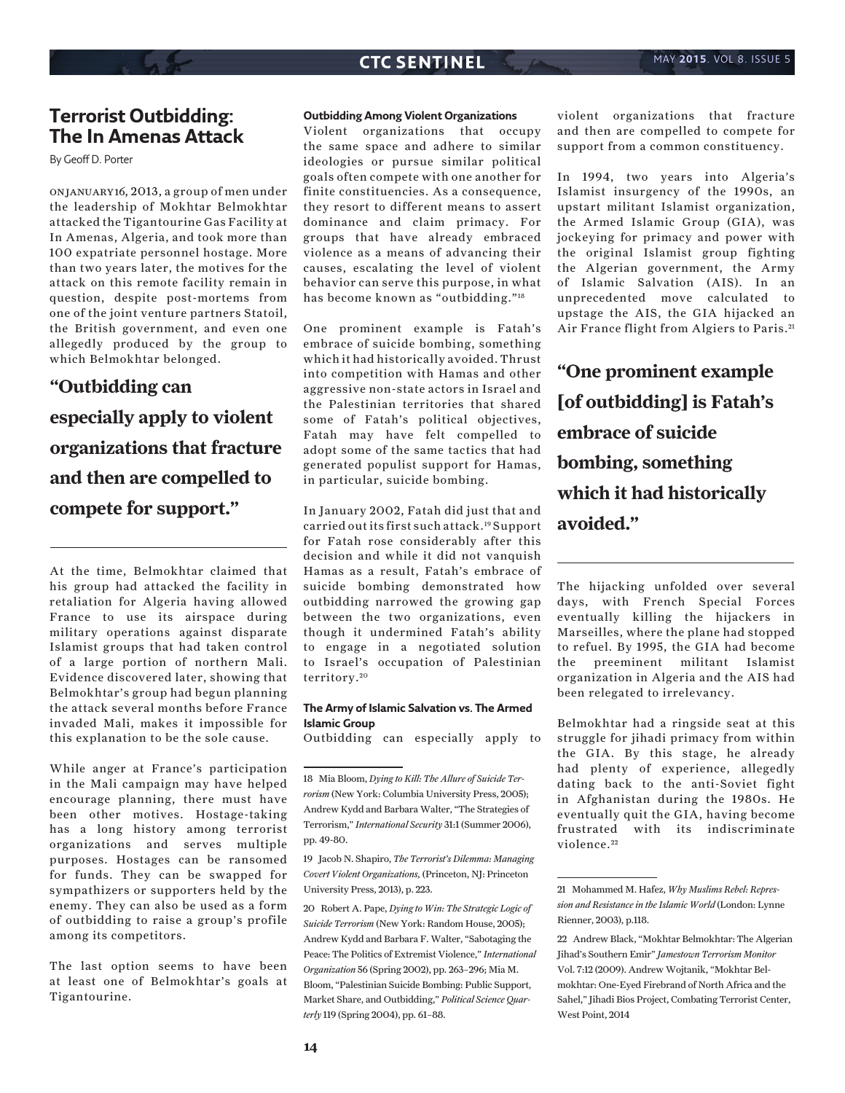# **Terrorist Outbidding: The In Amenas Attack**

By Geoff D. Porter

on january 16, 2013, a group of men under the leadership of Mokhtar Belmokhtar attacked the Tigantourine Gas Facility at In Amenas, Algeria, and took more than 100 expatriate personnel hostage. More than two years later, the motives for the attack on this remote facility remain in question, despite post-mortems from one of the joint venture partners Statoil, the British government, and even one allegedly produced by the group to which Belmokhtar belonged.

# **"Outbidding can especially apply to violent organizations that fracture and then are compelled to compete for support."**

At the time, Belmokhtar claimed that his group had attacked the facility in retaliation for Algeria having allowed France to use its airspace during military operations against disparate Islamist groups that had taken control of a large portion of northern Mali. Evidence discovered later, showing that Belmokhtar's group had begun planning the attack several months before France invaded Mali, makes it impossible for this explanation to be the sole cause.

While anger at France's participation in the Mali campaign may have helped encourage planning, there must have been other motives. Hostage-taking has a long history among terrorist organizations and serves multiple purposes. Hostages can be ransomed for funds. They can be swapped for sympathizers or supporters held by the enemy. They can also be used as a form of outbidding to raise a group's profile among its competitors.

The last option seems to have been at least one of Belmokhtar's goals at Tigantourine.

### **Outbidding Among Violent Organizations**

Violent organizations that occupy the same space and adhere to similar ideologies or pursue similar political goals often compete with one another for finite constituencies. As a consequence, they resort to different means to assert dominance and claim primacy. For groups that have already embraced violence as a means of advancing their causes, escalating the level of violent behavior can serve this purpose, in what has become known as "outbidding."18

One prominent example is Fatah's embrace of suicide bombing, something which it had historically avoided. Thrust into competition with Hamas and other aggressive non-state actors in Israel and the Palestinian territories that shared some of Fatah's political objectives, Fatah may have felt compelled to adopt some of the same tactics that had generated populist support for Hamas, in particular, suicide bombing.

In January 2002, Fatah did just that and carried out its first such attack.19 Support for Fatah rose considerably after this decision and while it did not vanquish Hamas as a result, Fatah's embrace of suicide bombing demonstrated how outbidding narrowed the growing gap between the two organizations, even though it undermined Fatah's ability to engage in a negotiated solution to Israel's occupation of Palestinian territory. <sup>20</sup>

### **The Army of Islamic Salvation vs. The Armed Islamic Group**

Outbidding can especially apply to

violent organizations that fracture and then are compelled to compete for support from a common constituency.

In 1994, two years into Algeria's Islamist insurgency of the 1990s, an upstart militant Islamist organization, the Armed Islamic Group (GIA), was jockeying for primacy and power with the original Islamist group fighting the Algerian government, the Army of Islamic Salvation (AIS). In an unprecedented move calculated to upstage the AIS, the GIA hijacked an Air France flight from Algiers to Paris. <sup>21</sup>

**"One prominent example [of outbidding] is Fatah's embrace of suicide bombing, something which it had historically avoided."**

The hijacking unfolded over several days, with French Special Forces eventually killing the hijackers in Marseilles, where the plane had stopped to refuel. By 1995, the GIA had become the preeminent militant Islamist organization in Algeria and the AIS had been relegated to irrelevancy.

Belmokhtar had a ringside seat at this struggle for jihadi primacy from within the GIA. By this stage, he already had plenty of experience, allegedly dating back to the anti-Soviet fight in Afghanistan during the 1980s. He eventually quit the GIA, having become frustrated with its indiscriminate violence.<sup>22</sup>

<sup>18</sup> Mia Bloom, *Dying to Kill: The Allure of Suicide Terrorism* (New York: Columbia University Press, 2005); Andrew Kydd and Barbara Walter, "The Strategies of Terrorism," *International Security* 31:1 (Summer 2006), pp. 49-80.

<sup>19</sup> Jacob N. Shapiro, *The Terrorist's Dilemma: Managing Covert Violent Organizations,* (Princeton, NJ: Princeton University Press, 2013), p. 223.

<sup>20</sup> Robert A. Pape, *Dying to Win: The Strategic Logic of Suicide Terrorism* (New York: Random House, 2005); Andrew Kydd and Barbara F. Walter, "Sabotaging the Peace: The Politics of Extremist Violence," *International Organization* 56 (Spring 2002), pp. 263–296; Mia M. Bloom, "Palestinian Suicide Bombing: Public Support, Market Share, and Outbidding," *Political Science Quarterly* 119 (Spring 2004), pp. 61–88.

<sup>21</sup> Mohammed M. Hafez, *Why Muslims Rebel: Repression and Resistance in the Islamic World* (London: Lynne Rienner, 2003), p.118.

<sup>22</sup> Andrew Black, "Mokhtar Belmokhtar: The Algerian Jihad's Southern Emir" *Jamestown Terrorism Monitor*  Vol. 7:12 (2009). Andrew Wojtanik, "Mokhtar Belmokhtar: One-Eyed Firebrand of North Africa and the Sahel," Jihadi Bios Project, Combating Terrorist Center, West Point, 2014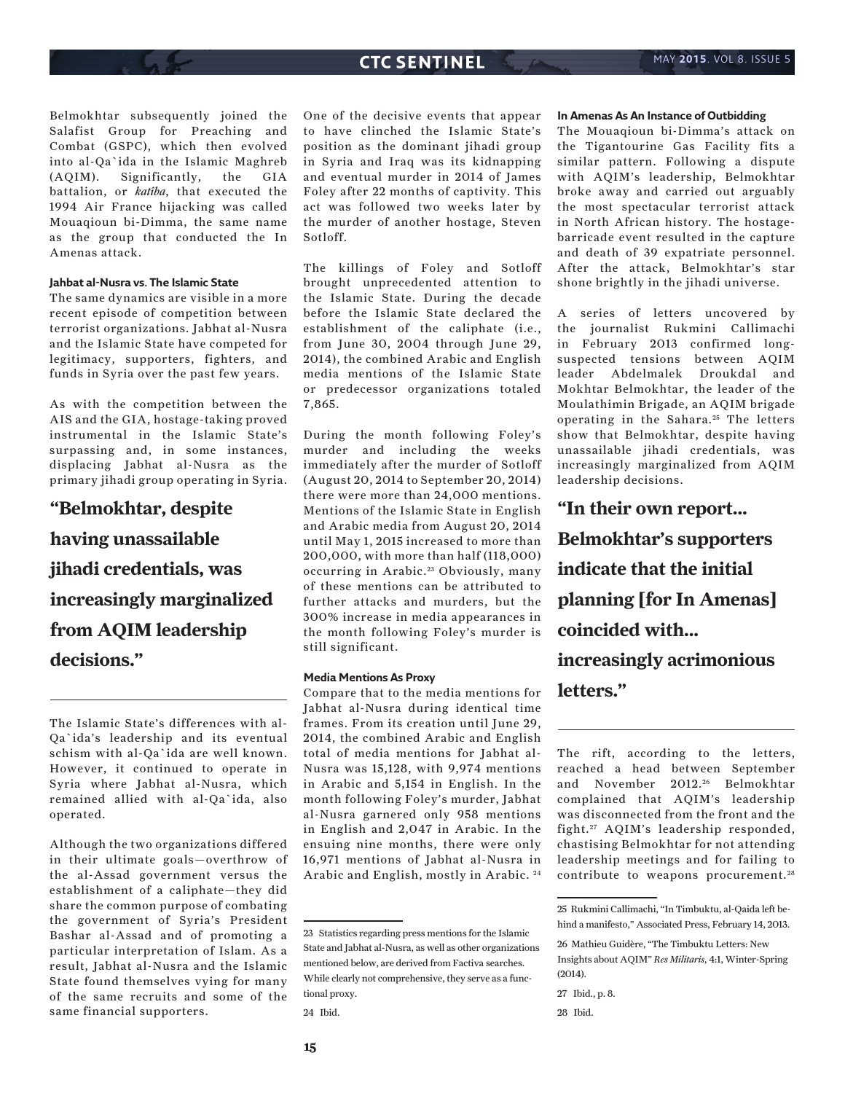Belmokhtar subsequently joined the Salafist Group for Preaching and Combat (GSPC), which then evolved into al-Qa`ida in the Islamic Maghreb (AQIM). Significantly, the GIA battalion, or *katîba*, that executed the 1994 Air France hijacking was called Mouaqioun bi-Dimma, the same name as the group that conducted the In Amenas attack.

### **Jahbat al-Nusra vs. The Islamic State**

The same dynamics are visible in a more recent episode of competition between terrorist organizations. Jabhat al-Nusra and the Islamic State have competed for legitimacy, supporters, fighters, and funds in Syria over the past few years.

As with the competition between the AIS and the GIA, hostage-taking proved instrumental in the Islamic State's surpassing and, in some instances, displacing Jabhat al-Nusra as the primary jihadi group operating in Syria.

# **"Belmokhtar, despite having unassailable jihadi credentials, was increasingly marginalized from AQIM leadership decisions."**

The Islamic State's differences with al-Qa`ida's leadership and its eventual schism with al-Qa`ida are well known. However, it continued to operate in Syria where Jabhat al-Nusra, which remained allied with al-Qa`ida, also operated.

Although the two organizations differed in their ultimate goals—overthrow of the al-Assad government versus the establishment of a caliphate—they did share the common purpose of combating the government of Syria's President Bashar al-Assad and of promoting a particular interpretation of Islam. As a result, Jabhat al-Nusra and the Islamic State found themselves vying for many of the same recruits and some of the same financial supporters.

One of the decisive events that appear to have clinched the Islamic State's position as the dominant jihadi group in Syria and Iraq was its kidnapping and eventual murder in 2014 of James Foley after 22 months of captivity. This act was followed two weeks later by the murder of another hostage, Steven Sotloff.

The killings of Foley and Sotloff brought unprecedented attention to the Islamic State. During the decade before the Islamic State declared the establishment of the caliphate (i.e., from June 30, 2004 through June 29, 2014), the combined Arabic and English media mentions of the Islamic State or predecessor organizations totaled 7,865.

During the month following Foley's murder and including the weeks immediately after the murder of Sotloff (August 20, 2014 to September 20, 2014) there were more than 24,000 mentions. Mentions of the Islamic State in English and Arabic media from August 20, 2014 until May 1, 2015 increased to more than 200,000, with more than half (118,000) occurring in Arabic.<sup>23</sup> Obviously, many of these mentions can be attributed to further attacks and murders, but the 300% increase in media appearances in the month following Foley's murder is still significant.

### **Media Mentions As Proxy**

Compare that to the media mentions for Jabhat al-Nusra during identical time frames. From its creation until June 29, 2014, the combined Arabic and English total of media mentions for Jabhat al-Nusra was 15,128, with 9,974 mentions in Arabic and 5,154 in English. In the month following Foley's murder, Jabhat al-Nusra garnered only 958 mentions in English and 2,047 in Arabic. In the ensuing nine months, there were only 16,971 mentions of Jabhat al-Nusra in Arabic and English, mostly in Arabic. 24

#### **In Amenas As An Instance of Outbidding**

The Mouaqioun bi-Dimma's attack on the Tigantourine Gas Facility fits a similar pattern. Following a dispute with AQIM's leadership, Belmokhtar broke away and carried out arguably the most spectacular terrorist attack in North African history. The hostagebarricade event resulted in the capture and death of 39 expatriate personnel. After the attack, Belmokhtar's star shone brightly in the jihadi universe.

A series of letters uncovered by the journalist Rukmini Callimachi in February 2013 confirmed longsuspected tensions between AQIM leader Abdelmalek Droukdal and Mokhtar Belmokhtar, the leader of the Moulathimin Brigade, an AQIM brigade operating in the Sahara.<sup>25</sup> The letters show that Belmokhtar, despite having unassailable jihadi credentials, was increasingly marginalized from AQIM leadership decisions.

**"In their own report... Belmokhtar's supporters indicate that the initial planning [for In Amenas] coincided with... increasingly acrimonious letters."**

The rift, according to the letters, reached a head between September and November 2012.<sup>26</sup> Belmokhtar complained that AQIM's leadership was disconnected from the front and the fight.<sup>27</sup> AQIM's leadership responded, chastising Belmokhtar for not attending leadership meetings and for failing to contribute to weapons procurement.<sup>28</sup>

<sup>23</sup> Statistics regarding press mentions for the Islamic State and Jabhat al-Nusra, as well as other organizations mentioned below, are derived from Factiva searches. While clearly not comprehensive, they serve as a functional proxy.

<sup>24</sup> Ibid.

<sup>25</sup> Rukmini Callimachi, "In Timbuktu, al-Qaida left behind a manifesto," Associated Press, February 14, 2013.

<sup>26</sup> Mathieu Guidère, "The Timbuktu Letters: New Insights about AQIM" *Res Militaris*, 4:1, Winter-Spring (2014).

<sup>27</sup> Ibid., p. 8.

<sup>28</sup> Ibid.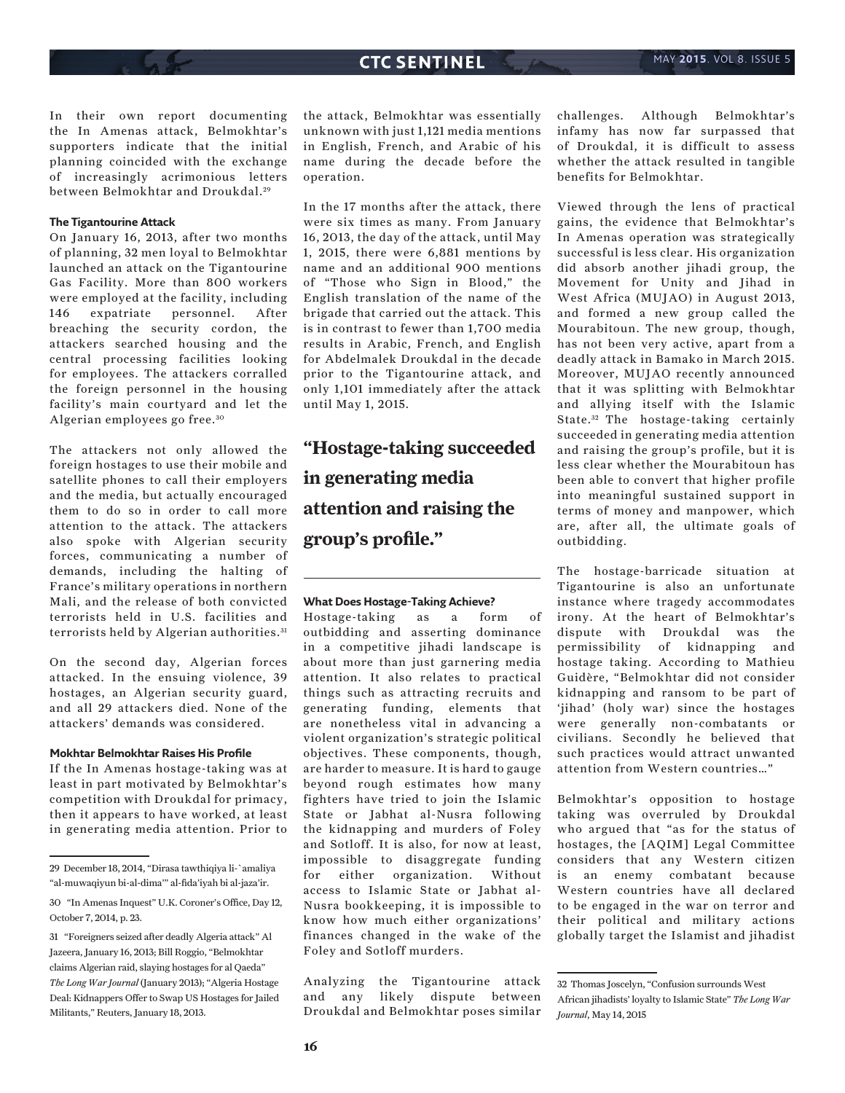In their own report documenting the In Amenas attack, Belmokhtar's supporters indicate that the initial planning coincided with the exchange of increasingly acrimonious letters between Belmokhtar and Droukdal.<sup>29</sup>

### **The Tigantourine Attack**

On January 16, 2013, after two months of planning, 32 men loyal to Belmokhtar launched an attack on the Tigantourine Gas Facility. More than 800 workers were employed at the facility, including 146 expatriate personnel. After breaching the security cordon, the attackers searched housing and the central processing facilities looking for employees. The attackers corralled the foreign personnel in the housing facility's main courtyard and let the Algerian employees go free. <sup>30</sup>

The attackers not only allowed the foreign hostages to use their mobile and satellite phones to call their employers and the media, but actually encouraged them to do so in order to call more attention to the attack. The attackers also spoke with Algerian security forces, communicating a number of demands, including the halting of France's military operations in northern Mali, and the release of both convicted terrorists held in U.S. facilities and terrorists held by Algerian authorities.<sup>31</sup>

On the second day, Algerian forces attacked. In the ensuing violence, 39 hostages, an Algerian security guard, and all 29 attackers died. None of the attackers' demands was considered.

#### **Mokhtar Belmokhtar Raises His Profile**

If the In Amenas hostage-taking was at least in part motivated by Belmokhtar's competition with Droukdal for primacy, then it appears to have worked, at least in generating media attention. Prior to the attack, Belmokhtar was essentially unknown with just 1,121 media mentions in English, French, and Arabic of his name during the decade before the operation.

In the 17 months after the attack, there were six times as many. From January 16, 2013, the day of the attack, until May 1, 2015, there were 6,881 mentions by name and an additional 900 mentions of "Those who Sign in Blood," the English translation of the name of the brigade that carried out the attack. This is in contrast to fewer than 1,700 media results in Arabic, French, and English for Abdelmalek Droukdal in the decade prior to the Tigantourine attack, and only 1,101 immediately after the attack until May 1, 2015.

**"Hostage-taking succeeded in generating media attention and raising the group's profile."**

### **What Does Hostage-Taking Achieve?**

Hostage-taking as a form of outbidding and asserting dominance in a competitive jihadi landscape is about more than just garnering media attention. It also relates to practical things such as attracting recruits and generating funding, elements that are nonetheless vital in advancing a violent organization's strategic political objectives. These components, though, are harder to measure. It is hard to gauge beyond rough estimates how many fighters have tried to join the Islamic State or Jabhat al-Nusra following the kidnapping and murders of Foley and Sotloff. It is also, for now at least, impossible to disaggregate funding for either organization. Without access to Islamic State or Jabhat al-Nusra bookkeeping, it is impossible to know how much either organizations' finances changed in the wake of the Foley and Sotloff murders.

Analyzing the Tigantourine attack and any likely dispute between Droukdal and Belmokhtar poses similar challenges. Although Belmokhtar's infamy has now far surpassed that of Droukdal, it is difficult to assess whether the attack resulted in tangible benefits for Belmokhtar.

Viewed through the lens of practical gains, the evidence that Belmokhtar's In Amenas operation was strategically successful is less clear. His organization did absorb another jihadi group, the Movement for Unity and Jihad in West Africa (MUJAO) in August 2013, and formed a new group called the Mourabitoun. The new group, though, has not been very active, apart from a deadly attack in Bamako in March 2015. Moreover, MUJAO recently announced that it was splitting with Belmokhtar and allying itself with the Islamic State.<sup>32</sup> The hostage-taking certainly succeeded in generating media attention and raising the group's profile, but it is less clear whether the Mourabitoun has been able to convert that higher profile into meaningful sustained support in terms of money and manpower, which are, after all, the ultimate goals of outbidding.

The hostage-barricade situation at Tigantourine is also an unfortunate instance where tragedy accommodates irony. At the heart of Belmokhtar's dispute with Droukdal was the permissibility of kidnapping and hostage taking. According to Mathieu Guidère, "Belmokhtar did not consider kidnapping and ransom to be part of 'jihad' (holy war) since the hostages were generally non-combatants or civilians. Secondly he believed that such practices would attract unwanted attention from Western countries…"

Belmokhtar's opposition to hostage taking was overruled by Droukdal who argued that "as for the status of hostages, the [AQIM] Legal Committee considers that any Western citizen is an enemy combatant because Western countries have all declared to be engaged in the war on terror and their political and military actions globally target the Islamist and jihadist

<sup>29</sup> December 18, 2014, "Dirasa tawthiqiya li-`amaliya "al-muwaqiyun bi-al-dima'" al-fida'iyah bi al-jaza'ir.

<sup>30 &</sup>quot;In Amenas Inquest" U.K. Coroner's Office, Day 12, October 7, 2014, p. 23.

<sup>31 &</sup>quot;Foreigners seized after deadly Algeria attack" Al Jazeera, January 16, 2013; Bill Roggio, "Belmokhtar claims Algerian raid, slaying hostages for al Qaeda" *The Long War Journal* (January 2013); "Algeria Hostage Deal: Kidnappers Offer to Swap US Hostages for Jailed Militants," Reuters, January 18, 2013.

<sup>32</sup> Thomas Joscelyn, "Confusion surrounds West African jihadists' loyalty to Islamic State" *The Long War Journal*, May 14, 2015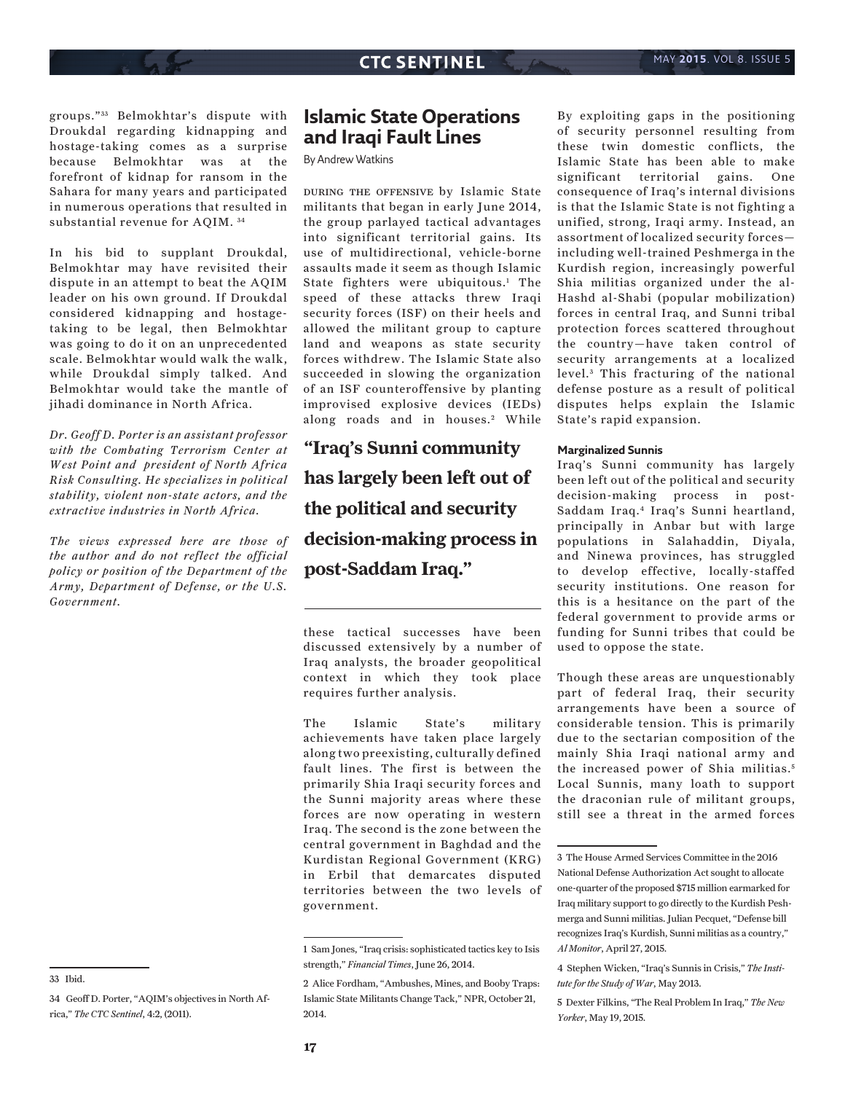groups." 33 Belmokhtar's dispute with Droukdal regarding kidnapping and hostage-taking comes as a surprise because Belmokhtar was at the forefront of kidnap for ransom in the Sahara for many years and participated in numerous operations that resulted in substantial revenue for AQIM. 34

In his bid to supplant Droukdal, Belmokhtar may have revisited their dispute in an attempt to beat the AQIM leader on his own ground. If Droukdal considered kidnapping and hostagetaking to be legal, then Belmokhtar was going to do it on an unprecedented scale. Belmokhtar would walk the walk, while Droukdal simply talked. And Belmokhtar would take the mantle of jihadi dominance in North Africa.

*Dr. Geoff D. Porter is an assistant professor with the Combating Terrorism Center at West Point and president of North Africa Risk Consulting. He specializes in political stability, violent non-state actors, and the extractive industries in North Africa.* 

*The views expressed here are those of the author and do not reflect the official policy or position of the Department of the Army, Department of Defense, or the U.S. Government.*

33 Ibid.

# **Islamic State Operations and Iraqi Fault Lines**

By Andrew Watkins

during the offensive by Islamic State militants that began in early June 2014, the group parlayed tactical advantages into significant territorial gains. Its use of multidirectional, vehicle-borne assaults made it seem as though Islamic State fighters were ubiquitous.<sup>1</sup> The speed of these attacks threw Iraqi security forces (ISF) on their heels and allowed the militant group to capture land and weapons as state security forces withdrew. The Islamic State also succeeded in slowing the organization of an ISF counteroffensive by planting improvised explosive devices (IEDs) along roads and in houses.<sup>2</sup> While

**"Iraq's Sunni community has largely been left out of the political and security decision-making process in post-Saddam Iraq."**

these tactical successes have been discussed extensively by a number of Iraq analysts, the broader geopolitical context in which they took place requires further analysis.

The Islamic State's military achievements have taken place largely along two preexisting, culturally defined fault lines. The first is between the primarily Shia Iraqi security forces and the Sunni majority areas where these forces are now operating in western Iraq. The second is the zone between the central government in Baghdad and the Kurdistan Regional Government (KRG) in Erbil that demarcates disputed territories between the two levels of government.

By exploiting gaps in the positioning of security personnel resulting from these twin domestic conflicts, the Islamic State has been able to make significant territorial gains. One consequence of Iraq's internal divisions is that the Islamic State is not fighting a unified, strong, Iraqi army. Instead, an assortment of localized security forces including well-trained Peshmerga in the Kurdish region, increasingly powerful Shia militias organized under the al-Hashd al-Shabi (popular mobilization) forces in central Iraq, and Sunni tribal protection forces scattered throughout the country—have taken control of security arrangements at a localized level.<sup>3</sup> This fracturing of the national defense posture as a result of political disputes helps explain the Islamic State's rapid expansion.

### **Marginalized Sunnis**

Iraq's Sunni community has largely been left out of the political and security decision-making process in post-Saddam Iraq.4 Iraq's Sunni heartland, principally in Anbar but with large populations in Salahaddin, Diyala, and Ninewa provinces, has struggled to develop effective, locally-staffed security institutions. One reason for this is a hesitance on the part of the federal government to provide arms or funding for Sunni tribes that could be used to oppose the state.

Though these areas are unquestionably part of federal Iraq, their security arrangements have been a source of considerable tension. This is primarily due to the sectarian composition of the mainly Shia Iraqi national army and the increased power of Shia militias.<sup>5</sup> Local Sunnis, many loath to support the draconian rule of militant groups, still see a threat in the armed forces

<sup>34</sup> Geoff D. Porter, "AQIM's objectives in North Africa," *The CTC Sentinel*, 4:2, (2011).

<sup>1</sup> Sam Jones, "Iraq crisis: sophisticated tactics key to Isis strength," *Financial Times*, June 26, 2014.

<sup>2</sup> Alice Fordham, "Ambushes, Mines, and Booby Traps: Islamic State Militants Change Tack," NPR, October 21, 2014.

<sup>3</sup> The House Armed Services Committee in the 2016 National Defense Authorization Act sought to allocate one-quarter of the proposed \$715 million earmarked for Iraq military support to go directly to the Kurdish Peshmerga and Sunni militias. Julian Pecquet, "Defense bill recognizes Iraq's Kurdish, Sunni militias as a country," *Al Monitor*, April 27, 2015.

<sup>4</sup> Stephen Wicken, "Iraq's Sunnis in Crisis," *The Institute for the Study of War*, May 2013.

<sup>5</sup> Dexter Filkins, "The Real Problem In Iraq," *The New Yorker*, May 19, 2015.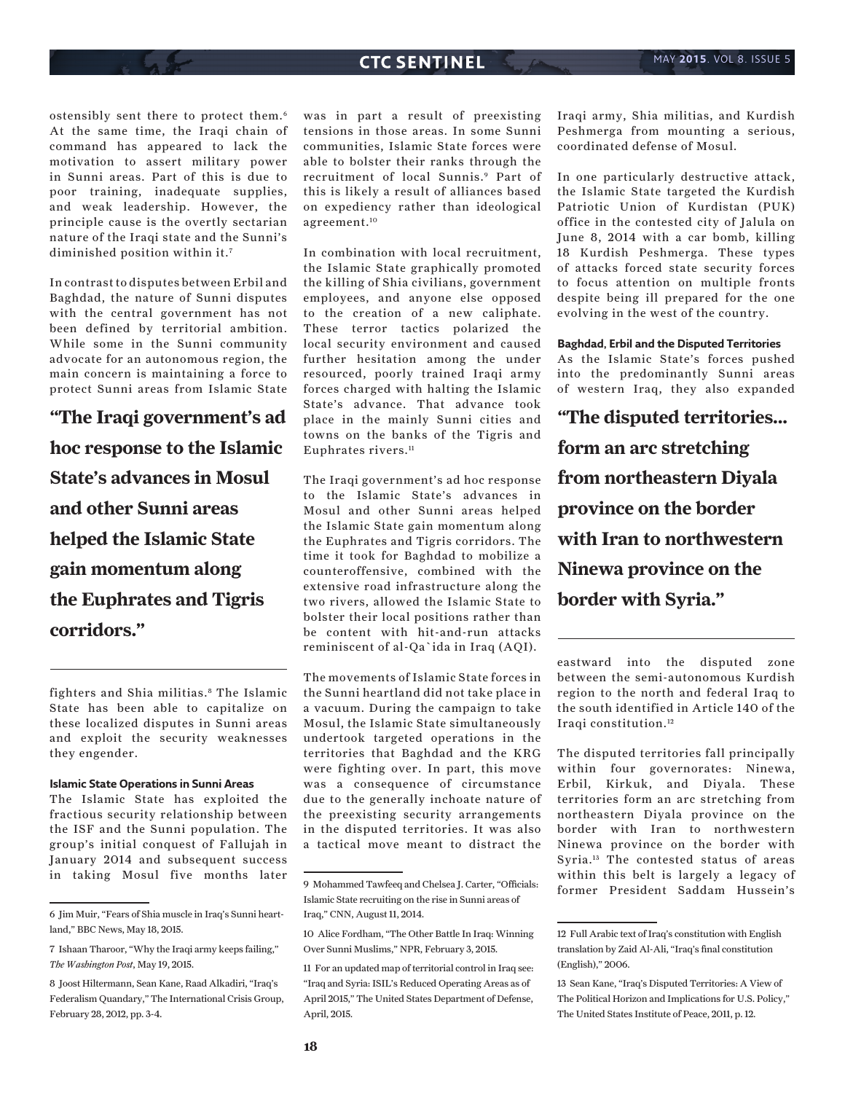ostensibly sent there to protect them.6 At the same time, the Iraqi chain of command has appeared to lack the motivation to assert military power in Sunni areas. Part of this is due to poor training, inadequate supplies, and weak leadership. However, the principle cause is the overtly sectarian nature of the Iraqi state and the Sunni's diminished position within it.<sup>7</sup>

In contrast to disputes between Erbil and Baghdad, the nature of Sunni disputes with the central government has not been defined by territorial ambition. While some in the Sunni community advocate for an autonomous region, the main concern is maintaining a force to protect Sunni areas from Islamic State

**"The Iraqi government's ad hoc response to the Islamic State's advances in Mosul and other Sunni areas helped the Islamic State gain momentum along the Euphrates and Tigris corridors."**

fighters and Shia militias.8 The Islamic State has been able to capitalize on these localized disputes in Sunni areas and exploit the security weaknesses they engender.

### **Islamic State Operations in Sunni Areas**

The Islamic State has exploited the fractious security relationship between the ISF and the Sunni population. The group's initial conquest of Fallujah in January 2014 and subsequent success in taking Mosul five months later

was in part a result of preexisting tensions in those areas. In some Sunni communities, Islamic State forces were able to bolster their ranks through the recruitment of local Sunnis.9 Part of this is likely a result of alliances based on expediency rather than ideological agreement.10

In combination with local recruitment, the Islamic State graphically promoted the killing of Shia civilians, government employees, and anyone else opposed to the creation of a new caliphate. These terror tactics polarized the local security environment and caused further hesitation among the under resourced, poorly trained Iraqi army forces charged with halting the Islamic State's advance. That advance took place in the mainly Sunni cities and towns on the banks of the Tigris and Euphrates rivers.<sup>11</sup>

The Iraqi government's ad hoc response to the Islamic State's advances in Mosul and other Sunni areas helped the Islamic State gain momentum along the Euphrates and Tigris corridors. The time it took for Baghdad to mobilize a counteroffensive, combined with the extensive road infrastructure along the two rivers, allowed the Islamic State to bolster their local positions rather than be content with hit-and-run attacks reminiscent of al-Qa`ida in Iraq (AQI).

The movements of Islamic State forces in the Sunni heartland did not take place in a vacuum. During the campaign to take Mosul, the Islamic State simultaneously undertook targeted operations in the territories that Baghdad and the KRG were fighting over. In part, this move was a consequence of circumstance due to the generally inchoate nature of the preexisting security arrangements in the disputed territories. It was also a tactical move meant to distract the Iraqi army, Shia militias, and Kurdish Peshmerga from mounting a serious, coordinated defense of Mosul.

In one particularly destructive attack, the Islamic State targeted the Kurdish Patriotic Union of Kurdistan (PUK) office in the contested city of Jalula on June 8, 2014 with a car bomb, killing 18 Kurdish Peshmerga. These types of attacks forced state security forces to focus attention on multiple fronts despite being ill prepared for the one evolving in the west of the country.

**Baghdad, Erbil and the Disputed Territories** 

As the Islamic State's forces pushed into the predominantly Sunni areas of western Iraq, they also expanded

**"The disputed territories... form an arc stretching from northeastern Diyala province on the border with Iran to northwestern Ninewa province on the border with Syria."**

eastward into the disputed zone between the semi-autonomous Kurdish region to the north and federal Iraq to the south identified in Article 140 of the Iraqi constitution.12

The disputed territories fall principally within four governorates: Ninewa, Erbil, Kirkuk, and Diyala. These territories form an arc stretching from northeastern Diyala province on the border with Iran to northwestern Ninewa province on the border with Syria.13 The contested status of areas within this belt is largely a legacy of former President Saddam Hussein's

<sup>6</sup> Jim Muir, "Fears of Shia muscle in Iraq's Sunni heartland," BBC News, May 18, 2015.

<sup>7</sup> Ishaan Tharoor, "Why the Iraqi army keeps failing," *The Washington Post*, May 19, 2015.

<sup>8</sup> Joost Hiltermann, Sean Kane, Raad Alkadiri, "Iraq's Federalism Quandary," The International Crisis Group, February 28, 2012, pp. 3-4.

<sup>9</sup> Mohammed Tawfeeq and Chelsea J. Carter, "Officials: Islamic State recruiting on the rise in Sunni areas of

Iraq," CNN, August 11, 2014.

<sup>10</sup> Alice Fordham, "The Other Battle In Iraq: Winning Over Sunni Muslims," NPR, February 3, 2015.

<sup>11</sup> For an updated map of territorial control in Iraq see: "Iraq and Syria: ISIL's Reduced Operating Areas as of April 2015," The United States Department of Defense, April, 2015.

<sup>12</sup> Full Arabic text of Iraq's constitution with English translation by Zaid Al-Ali, "Iraq's final constitution (English)," 2006.

<sup>13</sup> Sean Kane, "Iraq's Disputed Territories: A View of The Political Horizon and Implications for U.S. Policy," The United States Institute of Peace, 2011, p. 12.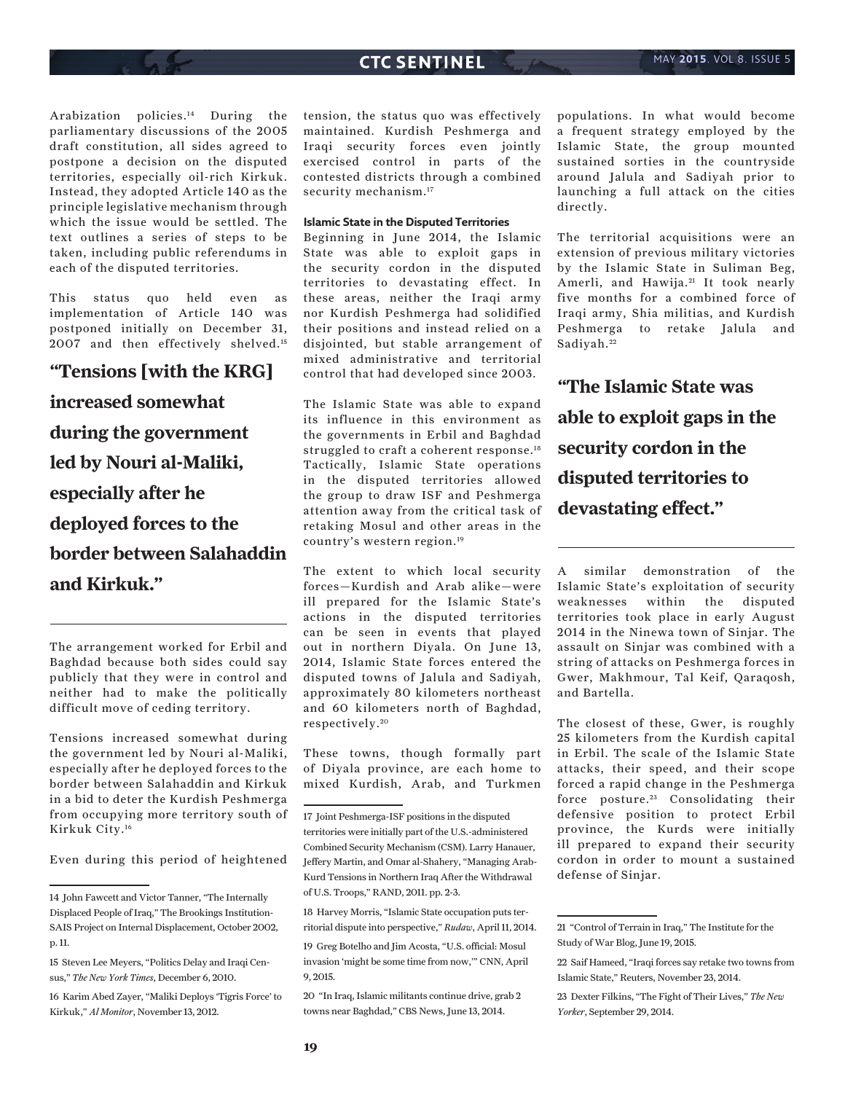Arabization policies.14 During the parliamentary discussions of the 2005 draft constitution, all sides agreed to postpone a decision on the disputed territories, especially oil-rich Kirkuk. Instead, they adopted Article 140 as the principle legislative mechanism through which the issue would be settled. The text outlines a series of steps to be taken, including public referendums in each of the disputed territories.

This status quo held even as implementation of Article 140 was postponed initially on December 31, 2007 and then effectively shelved.<sup>15</sup>

# **"Tensions [with the KRG] increased somewhat during the government led by Nouri al-Maliki, especially after he deployed forces to the border between Salahaddin and Kirkuk."**

The arrangement worked for Erbil and Baghdad because both sides could say publicly that they were in control and neither had to make the politically difficult move of ceding territory.

Tensions increased somewhat during the government led by Nouri al-Maliki, especially after he deployed forces to the border between Salahaddin and Kirkuk in a bid to deter the Kurdish Peshmerga from occupying more territory south of Kirkuk City.16

Even during this period of heightened

tension, the status quo was effectively maintained. Kurdish Peshmerga and Iraqi security forces even jointly exercised control in parts of the contested districts through a combined security mechanism.<sup>17</sup>

### **Islamic State in the Disputed Territories**

Beginning in June 2014, the Islamic State was able to exploit gaps in the security cordon in the disputed territories to devastating effect. In these areas, neither the Iraqi army nor Kurdish Peshmerga had solidified their positions and instead relied on a disjointed, but stable arrangement of mixed administrative and territorial control that had developed since 2003.

The Islamic State was able to expand its influence in this environment as the governments in Erbil and Baghdad struggled to craft a coherent response.<sup>18</sup> Tactically, Islamic State operations in the disputed territories allowed the group to draw ISF and Peshmerga attention away from the critical task of retaking Mosul and other areas in the country's western region.19

The extent to which local security forces—Kurdish and Arab alike—were ill prepared for the Islamic State's actions in the disputed territories can be seen in events that played out in northern Diyala. On June 13, 2014, Islamic State forces entered the disputed towns of Jalula and Sadiyah, approximately 80 kilometers northeast and 60 kilometers north of Baghdad, respectively. <sup>20</sup>

These towns, though formally part of Diyala province, are each home to mixed Kurdish, Arab, and Turkmen

18 Harvey Morris, "Islamic State occupation puts territorial dispute into perspective," *Rudaw*, April 11, 2014.

19 Greg Botelho and Jim Acosta, "U.S. official: Mosul invasion 'might be some time from now,'" CNN, April 9, 2015.

20 "In Iraq, Islamic militants continue drive, grab 2 towns near Baghdad," CBS News, June 13, 2014.

populations. In what would become a frequent strategy employed by the Islamic State, the group mounted sustained sorties in the countryside around Jalula and Sadiyah prior to launching a full attack on the cities directly.

The territorial acquisitions were an extension of previous military victories by the Islamic State in Suliman Beg, Amerli, and Hawija.<sup>21</sup> It took nearly five months for a combined force of Iraqi army, Shia militias, and Kurdish Peshmerga to retake Jalula and Sadiyah.<sup>22</sup>

**"The Islamic State was able to exploit gaps in the security cordon in the disputed territories to devastating effect."**

A similar demonstration of the Islamic State's exploitation of security weaknesses within the disputed territories took place in early August 2014 in the Ninewa town of Sinjar. The assault on Sinjar was combined with a string of attacks on Peshmerga forces in Gwer, Makhmour, Tal Keif, Qaraqosh, and Bartella.

The closest of these, Gwer, is roughly 25 kilometers from the Kurdish capital in Erbil. The scale of the Islamic State attacks, their speed, and their scope forced a rapid change in the Peshmerga force posture.<sup>23</sup> Consolidating their defensive position to protect Erbil province, the Kurds were initially ill prepared to expand their security cordon in order to mount a sustained defense of Sinjar.

<sup>14</sup> John Fawcett and Victor Tanner, "The Internally Displaced People of Iraq," The Brookings Institution-SAIS Project on Internal Displacement, October 2002, p. 11.

<sup>15</sup> Steven Lee Meyers, "Politics Delay and Iraqi Census," *The New York Times*, December 6, 2010.

<sup>16</sup> Karim Abed Zayer, "Maliki Deploys 'Tigris Force' to Kirkuk," *Al Monitor*, November 13, 2012.

<sup>17</sup> Joint Peshmerga-ISF positions in the disputed territories were initially part of the U.S.-administered Combined Security Mechanism (CSM). Larry Hanauer, Jeffery Martin, and Omar al-Shahery, "Managing Arab-Kurd Tensions in Northern Iraq After the Withdrawal of U.S. Troops," RAND, 2011. pp. 2-3.

<sup>21 &</sup>quot;Control of Terrain in Iraq," The Institute for the Study of War Blog, June 19, 2015.

<sup>22</sup> Saif Hameed, "Iraqi forces say retake two towns from Islamic State," Reuters, November 23, 2014.

<sup>23</sup> Dexter Filkins, "The Fight of Their Lives," *The New Yorker*, September 29, 2014.